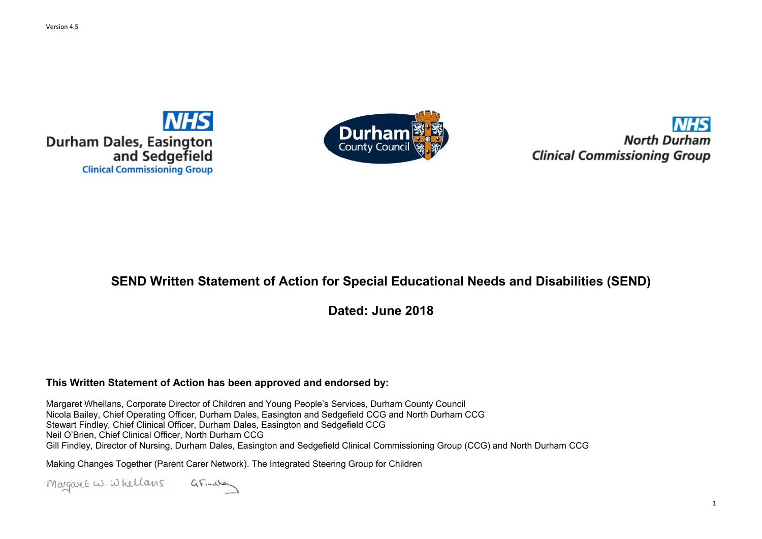



1

## **SEND Written Statement of Action for Special Educational Needs and Disabilities (SEND)**

**Dated: June 2018**

### **This Written Statement of Action has been approved and endorsed by:**

Margaret Whellans, Corporate Director of Children and Young People's Services, Durham County Council Nicola Bailey, Chief Operating Officer, Durham Dales, Easington and Sedgefield CCG and North Durham CCG Stewart Findley, Chief Clinical Officer, Durham Dales, Easington and Sedgefield CCG Neil O'Brien, Chief Clinical Officer, North Durham CCG Gill Findley, Director of Nursing, Durham Dales, Easington and Sedgefield Clinical Commissioning Group (CCG) and North Durham CCG

Making Changes Together (Parent Carer Network). The Integrated Steering Group for Children

Margaret W. Whellans GFinales

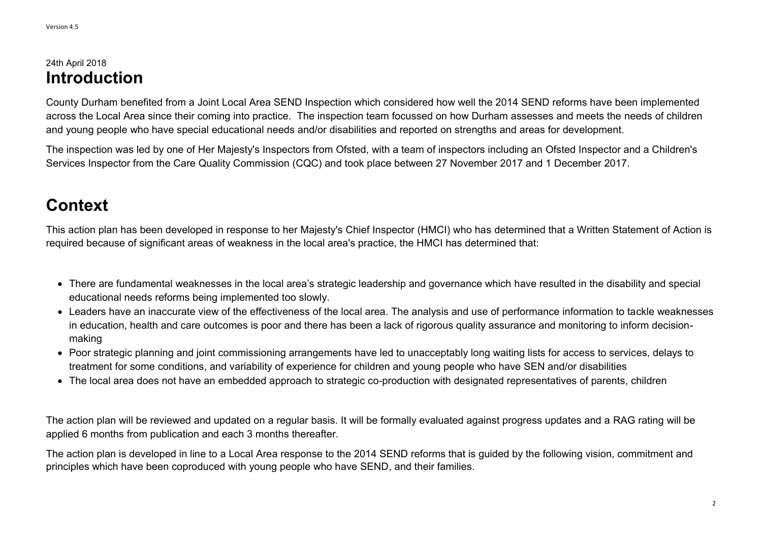## 24th April 2018 **Introduction**

County Durham benefited from a Joint Local Area SEND Inspection which considered how well the 2014 SEND reforms have been implemented across the Local Area since their coming into practice. The inspection team focussed on how Durham assesses and meets the needs of children and young people who have special educational needs and/or disabilities and reported on strengths and areas for development.

- There are fundamental weaknesses in the local area's strategic leadership and governance which have resulted in the disability and special educational needs reforms being implemented too slowly.
- Leaders have an inaccurate view of the effectiveness of the local area. The analysis and use of performance information to tackle weaknesses in education, health and care outcomes is poor and there has been a lack of rigorous quality assurance and monitoring to inform decisionmaking
- Poor strategic planning and joint commissioning arrangements have led to unacceptably long waiting lists for access to services, delays to treatment for some conditions, and variability of experience for children and young people who have SEN and/or disabilities
- The local area does not have an embedded approach to strategic co-production with designated representatives of parents, children

The inspection was led by one of Her Majesty's Inspectors from Ofsted, with a team of inspectors including an Ofsted Inspector and a Children's Services Inspector from the Care Quality Commission (CQC) and took place between 27 November 2017 and 1 December 2017.

# **Context**

This action plan has been developed in response to her Majesty's Chief Inspector (HMCI) who has determined that a Written Statement of Action is required because of significant areas of weakness in the local area's practice, the HMCI has determined that:

The action plan will be reviewed and updated on a regular basis. It will be formally evaluated against progress updates and a RAG rating will be applied 6 months from publication and each 3 months thereafter.

The action plan is developed in line to a Local Area response to the 2014 SEND reforms that is guided by the following vision, commitment and principles which have been coproduced with young people who have SEND, and their families.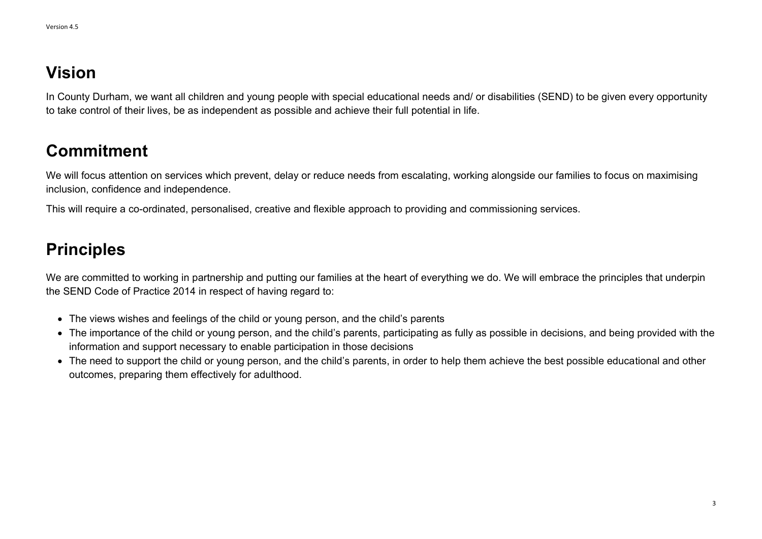## **Vision**

In County Durham, we want all children and young people with special educational needs and/ or disabilities (SEND) to be given every opportunity to take control of their lives, be as independent as possible and achieve their full potential in life.

## **Commitment**

We will focus attention on services which prevent, delay or reduce needs from escalating, working alongside our families to focus on maximising inclusion, confidence and independence.

This will require a co-ordinated, personalised, creative and flexible approach to providing and commissioning services.

## **Principles**

- The views wishes and feelings of the child or young person, and the child's parents
- The importance of the child or young person, and the child's parents, participating as fully as possible in decisions, and being provided with the information and support necessary to enable participation in those decisions
- The need to support the child or young person, and the child's parents, in order to help them achieve the best possible educational and other outcomes, preparing them effectively for adulthood.

We are committed to working in partnership and putting our families at the heart of everything we do. We will embrace the principles that underpin the SEND Code of Practice 2014 in respect of having regard to: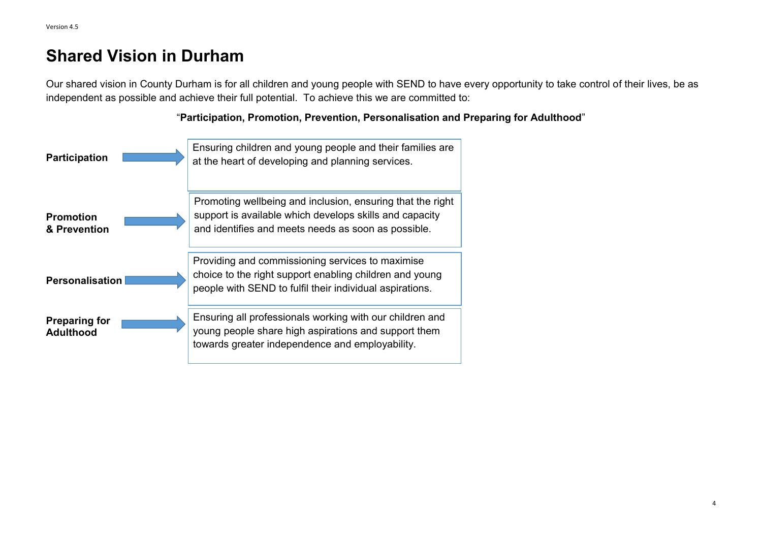## **Shared Vision in Durham**

Our shared vision in County Durham is for all children and young people with SEND to have every opportunity to take control of their lives, be as independent as possible and achieve their full potential. To achieve this we are committed to:



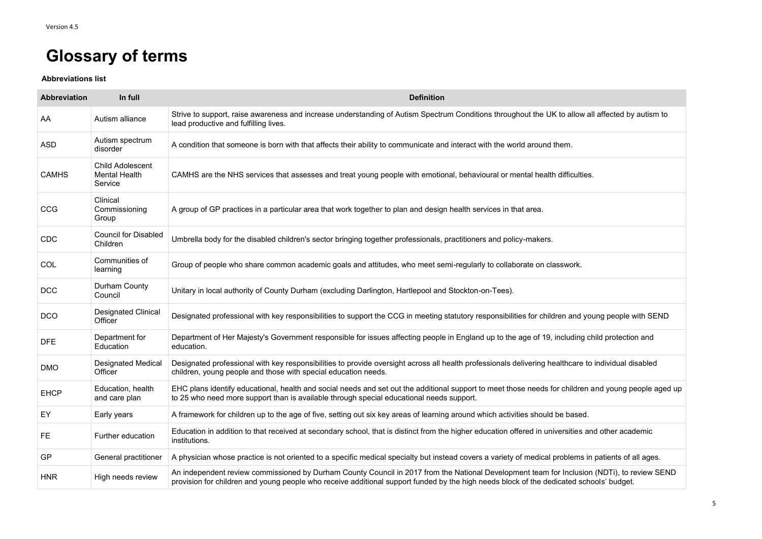# **Glossary of terms**

**Abbreviations list**

| <b>Abbreviation</b> | In full                                                    | <b>Definition</b>                                                                                                                                                                                                                                                                      |
|---------------------|------------------------------------------------------------|----------------------------------------------------------------------------------------------------------------------------------------------------------------------------------------------------------------------------------------------------------------------------------------|
| AA                  | Autism alliance                                            | Strive to support, raise awareness and increase understanding of Autism Spectrum Conditions throughout the UK to allow all affected by autism to<br>lead productive and fulfilling lives.                                                                                              |
| <b>ASD</b>          | Autism spectrum<br>disorder                                | A condition that someone is born with that affects their ability to communicate and interact with the world around them.                                                                                                                                                               |
| <b>CAMHS</b>        | <b>Child Adolescent</b><br><b>Mental Health</b><br>Service | CAMHS are the NHS services that assesses and treat young people with emotional, behavioural or mental health difficulties.                                                                                                                                                             |
| <b>CCG</b>          | Clinical<br>Commissioning<br>Group                         | A group of GP practices in a particular area that work together to plan and design health services in that area.                                                                                                                                                                       |
| <b>CDC</b>          | <b>Council for Disabled</b><br>Children                    | Umbrella body for the disabled children's sector bringing together professionals, practitioners and policy-makers.                                                                                                                                                                     |
| <b>COL</b>          | Communities of<br>learning                                 | Group of people who share common academic goals and attitudes, who meet semi-regularly to collaborate on classwork.                                                                                                                                                                    |
| <b>DCC</b>          | Durham County<br>Council                                   | Unitary in local authority of County Durham (excluding Darlington, Hartlepool and Stockton-on-Tees).                                                                                                                                                                                   |
| <b>DCO</b>          | <b>Designated Clinical</b><br>Officer                      | Designated professional with key responsibilities to support the CCG in meeting statutory responsibilities for children and young people with SEND                                                                                                                                     |
| <b>DFE</b>          | Department for<br>Education                                | Department of Her Majesty's Government responsible for issues affecting people in England up to the age of 19, including child protection and<br>education.                                                                                                                            |
| <b>DMO</b>          | <b>Designated Medical</b><br>Officer                       | Designated professional with key responsibilities to provide oversight across all health professionals delivering healthcare to individual disabled<br>children, young people and those with special education needs.                                                                  |
| <b>EHCP</b>         | Education, health<br>and care plan                         | EHC plans identify educational, health and social needs and set out the additional support to meet those needs for children and young people aged up<br>to 25 who need more support than is available through special educational needs support.                                       |
| EY                  | Early years                                                | A framework for children up to the age of five, setting out six key areas of learning around which activities should be based.                                                                                                                                                         |
| FE                  | Further education                                          | Education in addition to that received at secondary school, that is distinct from the higher education offered in universities and other academic<br>institutions.                                                                                                                     |
| <b>GP</b>           | <b>General practitioner</b>                                | A physician whose practice is not oriented to a specific medical specialty but instead covers a variety of medical problems in patients of all ages.                                                                                                                                   |
| <b>HNR</b>          | High needs review                                          | An independent review commissioned by Durham County Council in 2017 from the National Development team for Inclusion (NDTi), to review SEND<br>provision for children and young people who receive additional support funded by the high needs block of the dedicated schools' budget. |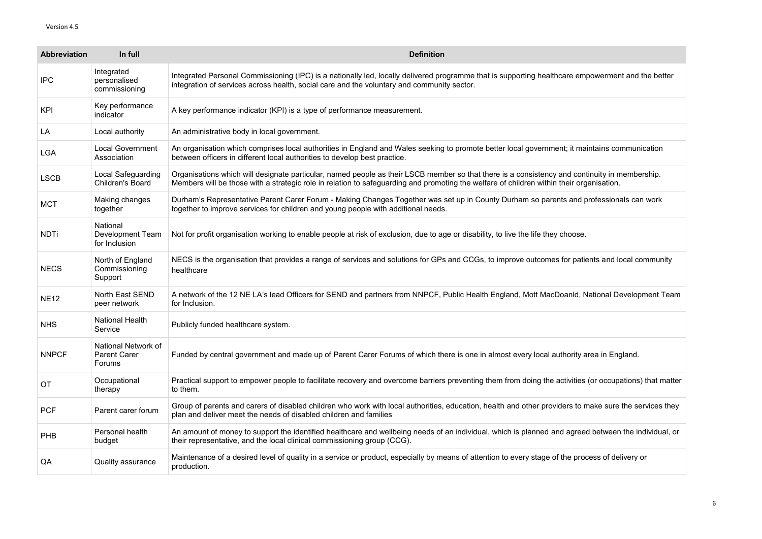| <b>Abbreviation</b> | In full                                                     | <b>Definition</b>                                                                                                                                                                                                                                                                         |
|---------------------|-------------------------------------------------------------|-------------------------------------------------------------------------------------------------------------------------------------------------------------------------------------------------------------------------------------------------------------------------------------------|
| <b>IPC</b>          | Integrated<br>personalised<br>commissioning                 | Integrated Personal Commissioning (IPC) is a nationally led, locally delivered programme that is supporting healthcare empowerment and the better<br>integration of services across health, social care and the voluntary and community sector.                                           |
| <b>KPI</b>          | Key performance<br>indicator                                | A key performance indicator (KPI) is a type of performance measurement.                                                                                                                                                                                                                   |
| LA                  | Local authority                                             | An administrative body in local government.                                                                                                                                                                                                                                               |
| <b>LGA</b>          | <b>Local Government</b><br>Association                      | An organisation which comprises local authorities in England and Wales seeking to promote better local government; it maintains communication<br>between officers in different local authorities to develop best practice.                                                                |
| <b>LSCB</b>         | Local Safeguarding<br><b>Children's Board</b>               | Organisations which will designate particular, named people as their LSCB member so that there is a consistency and continuity in membership.<br>Members will be those with a strategic role in relation to safeguarding and promoting the welfare of children within their organisation. |
| <b>MCT</b>          | Making changes<br>together                                  | Durham's Representative Parent Carer Forum - Making Changes Together was set up in County Durham so parents and professionals can work<br>together to improve services for children and young people with additional needs.                                                               |
| <b>NDTi</b>         | National<br><b>Development Team</b><br>for Inclusion        | Not for profit organisation working to enable people at risk of exclusion, due to age or disability, to live the life they choose.                                                                                                                                                        |
| <b>NECS</b>         | North of England<br>Commissioning<br>Support                | NECS is the organisation that provides a range of services and solutions for GPs and CCGs, to improve outcomes for patients and local community<br>healthcare                                                                                                                             |
| <b>NE12</b>         | <b>North East SEND</b><br>peer network                      | A network of the 12 NE LA's lead Officers for SEND and partners from NNPCF, Public Health England, Mott MacDoanld, National Development Team<br>for Inclusion.                                                                                                                            |
| <b>NHS</b>          | <b>National Health</b><br>Service                           | Publicly funded healthcare system.                                                                                                                                                                                                                                                        |
| <b>NNPCF</b>        | National Network of<br><b>Parent Carer</b><br><b>Forums</b> | Funded by central government and made up of Parent Carer Forums of which there is one in almost every local authority area in England.                                                                                                                                                    |
| <b>OT</b>           | Occupational<br>therapy                                     | Practical support to empower people to facilitate recovery and overcome barriers preventing them from doing the activities (or occupations) that matter<br>to them.                                                                                                                       |
| <b>PCF</b>          | Parent carer forum                                          | Group of parents and carers of disabled children who work with local authorities, education, health and other providers to make sure the services they<br>plan and deliver meet the needs of disabled children and families                                                               |
| <b>PHB</b>          | Personal health<br>budget                                   | An amount of money to support the identified healthcare and wellbeing needs of an individual, which is planned and agreed between the individual, or<br>their representative, and the local clinical commissioning group (CCG).                                                           |
| QA                  | <b>Quality assurance</b>                                    | Maintenance of a desired level of quality in a service or product, especially by means of attention to every stage of the process of delivery or<br>production.                                                                                                                           |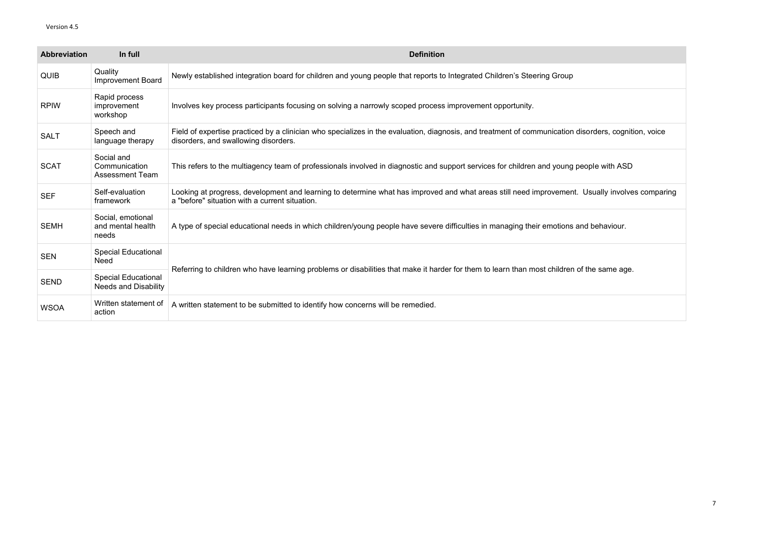| <b>Abbreviation</b> | In full                                                   | <b>Definition</b>                                                                                                                                                                                |
|---------------------|-----------------------------------------------------------|--------------------------------------------------------------------------------------------------------------------------------------------------------------------------------------------------|
| <b>QUIB</b>         | Quality<br><b>Improvement Board</b>                       | Newly established integration board for children and young people that reports to Integrated Children's Steering Group                                                                           |
| <b>RPIW</b>         | Rapid process<br>improvement<br>workshop                  | Involves key process participants focusing on solving a narrowly scoped process improvement opportunity.                                                                                         |
| <b>SALT</b>         | Speech and<br>language therapy                            | Field of expertise practiced by a clinician who specializes in the evaluation, diagnosis, and treatment of communication disorders, cognition, voice<br>disorders, and swallowing disorders.     |
| <b>SCAT</b>         | Social and<br>Communication<br><b>Assessment Team</b>     | This refers to the multiagency team of professionals involved in diagnostic and support services for children and young people with ASD                                                          |
| <b>SEF</b>          | Self-evaluation<br>framework                              | Looking at progress, development and learning to determine what has improved and what areas still need improvement. Usually involves comparing<br>a "before" situation with a current situation. |
| <b>SEMH</b>         | Social, emotional<br>and mental health<br>needs           | A type of special educational needs in which children/young people have severe difficulties in managing their emotions and behaviour.                                                            |
| <b>SEN</b>          | <b>Special Educational</b><br><b>Need</b>                 |                                                                                                                                                                                                  |
| <b>SEND</b>         | <b>Special Educational</b><br><b>Needs and Disability</b> | Referring to children who have learning problems or disabilities that make it harder for them to learn than most children of the same age.                                                       |
| <b>WSOA</b>         | Written statement of<br>action                            | A written statement to be submitted to identify how concerns will be remedied.                                                                                                                   |

| disorders, cognition, voice   |
|-------------------------------|
| people with ASD               |
| t. Usually involves comparing |
| and behaviour.                |
| of the same age.              |
|                               |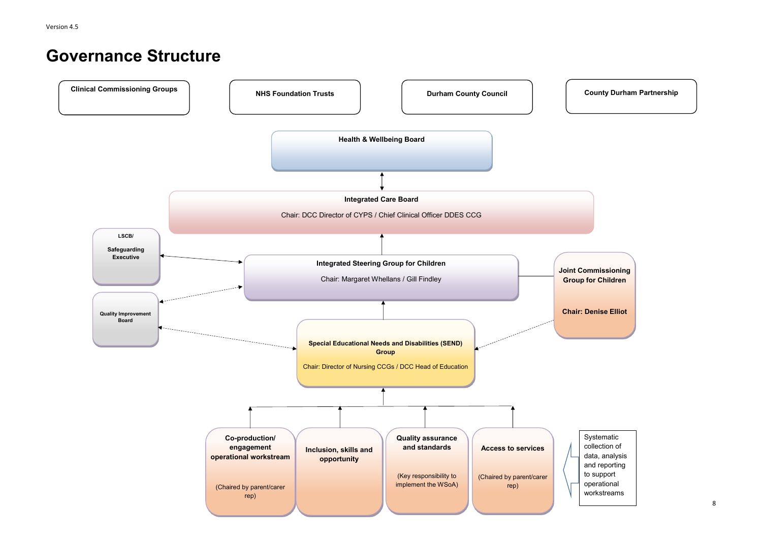## **Governance Structure**



**Joint Commissioning Group for Children** 

**Chair: Denise Elliot**

Systematic collection of data, analysis and reporting to support operational workstreams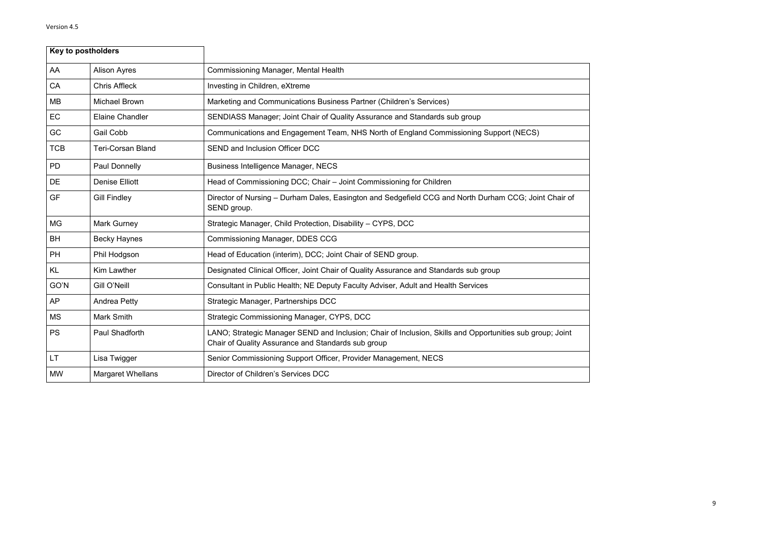|            | Key to postholders       |                                                                                                                                                                 |
|------------|--------------------------|-----------------------------------------------------------------------------------------------------------------------------------------------------------------|
| AA         | <b>Alison Ayres</b>      | <b>Commissioning Manager, Mental Health</b>                                                                                                                     |
| CA         | <b>Chris Affleck</b>     | Investing in Children, eXtreme                                                                                                                                  |
| <b>MB</b>  | <b>Michael Brown</b>     | Marketing and Communications Business Partner (Children's Services)                                                                                             |
| EC         | <b>Elaine Chandler</b>   | SENDIASS Manager; Joint Chair of Quality Assurance and Standards sub group                                                                                      |
| GC         | <b>Gail Cobb</b>         | Communications and Engagement Team, NHS North of England Commissioning Support (NECS)                                                                           |
| <b>TCB</b> | <b>Teri-Corsan Bland</b> | <b>SEND and Inclusion Officer DCC</b>                                                                                                                           |
| <b>PD</b>  | <b>Paul Donnelly</b>     | <b>Business Intelligence Manager, NECS</b>                                                                                                                      |
| <b>DE</b>  | <b>Denise Elliott</b>    | Head of Commissioning DCC; Chair - Joint Commissioning for Children                                                                                             |
| <b>GF</b>  | <b>Gill Findley</b>      | Director of Nursing - Durham Dales, Easington and Sedgefield CCG and North Durham CCG; Joint Chair of<br>SEND group.                                            |
| <b>MG</b>  | <b>Mark Gurney</b>       | Strategic Manager, Child Protection, Disability - CYPS, DCC                                                                                                     |
| <b>BH</b>  | <b>Becky Haynes</b>      | <b>Commissioning Manager, DDES CCG</b>                                                                                                                          |
| <b>PH</b>  | Phil Hodgson             | Head of Education (interim), DCC; Joint Chair of SEND group.                                                                                                    |
| <b>KL</b>  | <b>Kim Lawther</b>       | Designated Clinical Officer, Joint Chair of Quality Assurance and Standards sub group                                                                           |
| GO'N       | Gill O'Neill             | Consultant in Public Health; NE Deputy Faculty Adviser, Adult and Health Services                                                                               |
| <b>AP</b>  | <b>Andrea Petty</b>      | Strategic Manager, Partnerships DCC                                                                                                                             |
| <b>MS</b>  | <b>Mark Smith</b>        | Strategic Commissioning Manager, CYPS, DCC                                                                                                                      |
| <b>PS</b>  | Paul Shadforth           | LANO; Strategic Manager SEND and Inclusion; Chair of Inclusion, Skills and Opportunities sub group; Joint<br>Chair of Quality Assurance and Standards sub group |
| LT.        | Lisa Twigger             | Senior Commissioning Support Officer, Provider Management, NECS                                                                                                 |
| <b>MW</b>  | <b>Margaret Whellans</b> | Director of Children's Services DCC                                                                                                                             |

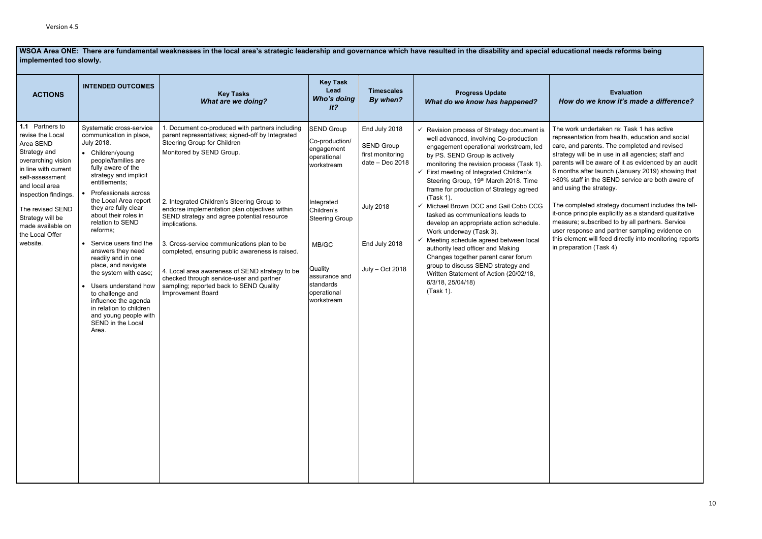**WSOA Area ONE: There are fundamental weaknesses in the local area's strategic leadership and governance which have resulted in the disability and special educational needs reforms being implemented too slowly.**

### **Evaluation**  *How do we know it's made a difference?*

rk undertaken re: Task 1 has active ntation from health, education and social nd parents. The completed and revised will be in use in all agencies; staff and will be aware of it as evidenced by an audit hs after launch (January 2019) showing that taff in the SEND service are both aware of ng the strategy.

npleted strategy document includes the tell- $\mathop{\mathsf{principal}}$  explicitly as a standard qualitative e; subscribed to by all partners. Service ponse and partner sampling evidence on nent will feed directly into monitoring reports ration (Task 4)

| <b>ACTIONS</b>                                                                                                                                                                                                                                                          | <b>INTENDED OUTCOMES</b>                                                                                                                                                                                                                                                                                                                                                                                                                                                                                                                                                                                                  | <b>Key Tasks</b><br><b>What are we doing?</b>                                                                                                                                                                                                                                                                                                                                                                                                                                                                                                                                                      | <b>Key Task</b><br>Lead<br><b>Who's doing</b><br>it?                                                                                                                                                               | <b>Timescales</b><br>By when?                                                                                                       | <b>Progress Update</b><br>What do we know has happened?                                                                                                                                                                                                                                                                                                                                                                                                                                                                                                                                                                                                                                                                                                          | How                                                                                                                                                               |
|-------------------------------------------------------------------------------------------------------------------------------------------------------------------------------------------------------------------------------------------------------------------------|---------------------------------------------------------------------------------------------------------------------------------------------------------------------------------------------------------------------------------------------------------------------------------------------------------------------------------------------------------------------------------------------------------------------------------------------------------------------------------------------------------------------------------------------------------------------------------------------------------------------------|----------------------------------------------------------------------------------------------------------------------------------------------------------------------------------------------------------------------------------------------------------------------------------------------------------------------------------------------------------------------------------------------------------------------------------------------------------------------------------------------------------------------------------------------------------------------------------------------------|--------------------------------------------------------------------------------------------------------------------------------------------------------------------------------------------------------------------|-------------------------------------------------------------------------------------------------------------------------------------|------------------------------------------------------------------------------------------------------------------------------------------------------------------------------------------------------------------------------------------------------------------------------------------------------------------------------------------------------------------------------------------------------------------------------------------------------------------------------------------------------------------------------------------------------------------------------------------------------------------------------------------------------------------------------------------------------------------------------------------------------------------|-------------------------------------------------------------------------------------------------------------------------------------------------------------------|
| 1.1 Partners to<br>revise the Local<br>Area SEND<br>Strategy and<br>overarching vision<br>in line with current<br>self-assessment<br>and local area<br>inspection findings.<br>The revised SEND<br>Strategy will be<br>made available on<br>the Local Offer<br>website. | Systematic cross-service<br>communication in place,<br><b>July 2018.</b><br>• Children/young<br>people/families are<br>fully aware of the<br>strategy and implicit<br>entitlements;<br>Professionals across<br>the Local Area report<br>they are fully clear<br>about their roles in<br>relation to SEND<br>reforms;<br>Service users find the<br>$\bullet$<br>answers they need<br>readily and in one<br>place, and navigate<br>the system with ease;<br>Users understand how<br>$\bullet$<br>to challenge and<br>influence the agenda<br>in relation to children<br>and young people with<br>SEND in the Local<br>Area. | 1. Document co-produced with partners including<br>parent representatives; signed-off by Integrated<br>Steering Group for Children<br>Monitored by SEND Group.<br>2. Integrated Children's Steering Group to<br>endorse implementation plan objectives within<br>SEND strategy and agree potential resource<br>implications.<br>3. Cross-service communications plan to be<br>completed, ensuring public awareness is raised.<br>4. Local area awareness of SEND strategy to be<br>checked through service-user and partner<br>sampling; reported back to SEND Quality<br><b>Improvement Board</b> | <b>SEND Group</b><br>Co-production/<br>engagement<br>operational<br>workstream<br>Integrated<br>Children's<br><b>Steering Group</b><br>MB/GC<br>Quality<br>assurance and<br>standards<br>operational<br>workstream | End July 2018<br><b>SEND Group</b><br>first monitoring<br>$date - Dec 2018$<br><b>July 2018</b><br>End July 2018<br>July - Oct 2018 | Revision process of Strategy document is<br>well advanced, involving Co-production<br>engagement operational workstream, led<br>by PS. SEND Group is actively<br>monitoring the revision process (Task 1).<br>$\checkmark$ First meeting of Integrated Children's<br>Steering Group, 19th March 2018. Time<br>frame for production of Strategy agreed<br>(Task 1).<br>Michael Brown DCC and Gail Cobb CCG<br>✓<br>tasked as communications leads to<br>develop an appropriate action schedule.<br>Work underway (Task 3).<br>Meeting schedule agreed between local<br>authority lead officer and Making<br>Changes together parent carer forum<br>group to discuss SEND strategy and<br>Written Statement of Action (20/02/18,<br>6/3/18, 25/04/18)<br>(Task 1). | The worl<br>represer<br>care, an<br>strategy<br>parents<br>6 month<br>>80% st<br>and usin<br>The com<br>it-once p<br>measure<br>user res<br>this elem<br>in prepa |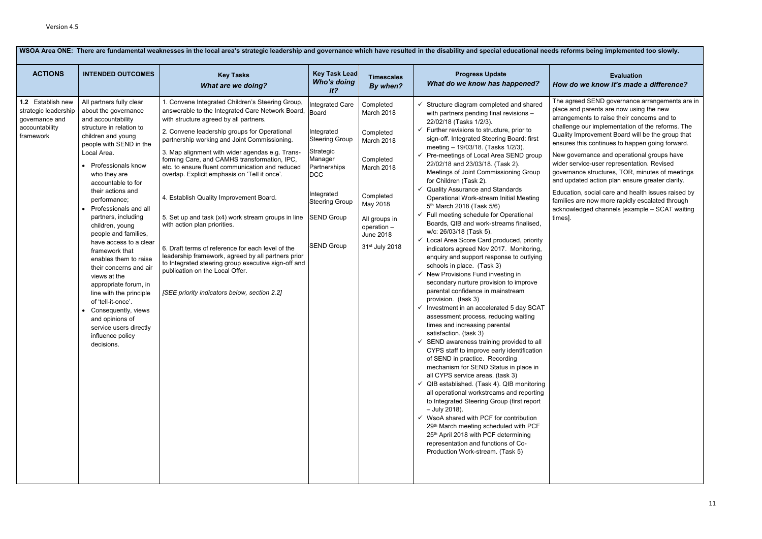### **Evaluation** *How do we know it's made a difference?*

eed SEND governance arrangements are in nd parents are now using the new ments to raise their concerns and to je our implementation of the reforms. The Improvement Board will be the group that this continues to happen going forward.

vernance and operational groups have ervice-user representation. Revised nce structures, TOR, minutes of meetings lated action plan ensure greater clarity.

on, social care and health issues raised by are now more rapidly escalated through ledged channels [example – SCAT waiting

|                                                                                            | WSOA Area ONE: There are fundamental weaknesses in the local area's strategic leadership and governance which have resulted in the disability and special educational needs reforr                                                                                                                                                                                                                                                                                                                                                                                                                                                                                           |                                                                                                                                                                                                                                                                                                                                                                                                                                                                                                                                                                                                                                                                                                                                                                                                                                             |                                                                                                                                                                                                        |                                                                                                                                                                              |                                                                                                                                                                                                                                                                                                                                                                                                                                                                                                                                                                                                                                                                                                                                                                                                                                                                                                                                                                                                                                                                                                                                                                                                                                                                                                                                                                                                                                                                                                                                                                                                                                                                                                                                               |                                                                                                                                                                    |  |  |
|--------------------------------------------------------------------------------------------|------------------------------------------------------------------------------------------------------------------------------------------------------------------------------------------------------------------------------------------------------------------------------------------------------------------------------------------------------------------------------------------------------------------------------------------------------------------------------------------------------------------------------------------------------------------------------------------------------------------------------------------------------------------------------|---------------------------------------------------------------------------------------------------------------------------------------------------------------------------------------------------------------------------------------------------------------------------------------------------------------------------------------------------------------------------------------------------------------------------------------------------------------------------------------------------------------------------------------------------------------------------------------------------------------------------------------------------------------------------------------------------------------------------------------------------------------------------------------------------------------------------------------------|--------------------------------------------------------------------------------------------------------------------------------------------------------------------------------------------------------|------------------------------------------------------------------------------------------------------------------------------------------------------------------------------|-----------------------------------------------------------------------------------------------------------------------------------------------------------------------------------------------------------------------------------------------------------------------------------------------------------------------------------------------------------------------------------------------------------------------------------------------------------------------------------------------------------------------------------------------------------------------------------------------------------------------------------------------------------------------------------------------------------------------------------------------------------------------------------------------------------------------------------------------------------------------------------------------------------------------------------------------------------------------------------------------------------------------------------------------------------------------------------------------------------------------------------------------------------------------------------------------------------------------------------------------------------------------------------------------------------------------------------------------------------------------------------------------------------------------------------------------------------------------------------------------------------------------------------------------------------------------------------------------------------------------------------------------------------------------------------------------------------------------------------------------|--------------------------------------------------------------------------------------------------------------------------------------------------------------------|--|--|
| <b>ACTIONS</b>                                                                             | <b>INTENDED OUTCOMES</b>                                                                                                                                                                                                                                                                                                                                                                                                                                                                                                                                                                                                                                                     | <b>Key Tasks</b><br><b>What are we doing?</b>                                                                                                                                                                                                                                                                                                                                                                                                                                                                                                                                                                                                                                                                                                                                                                                               | <b>Key Task Lead</b><br><b>Who's doing</b><br>it?                                                                                                                                                      | <b>Timescales</b><br>By when?                                                                                                                                                | <b>Progress Update</b><br>What do we know has happened?                                                                                                                                                                                                                                                                                                                                                                                                                                                                                                                                                                                                                                                                                                                                                                                                                                                                                                                                                                                                                                                                                                                                                                                                                                                                                                                                                                                                                                                                                                                                                                                                                                                                                       | How do                                                                                                                                                             |  |  |
| 1.2 Establish new<br>strategic leadership<br>governance and<br>accountability<br>framework | All partners fully clear<br>about the governance<br>and accountability<br>structure in relation to<br>children and young<br>people with SEND in the<br>Local Area.<br>• Professionals know<br>who they are<br>accountable to for<br>their actions and<br>performance;<br>Professionals and all<br>partners, including<br>children, young<br>people and families,<br>have access to a clear<br>framework that<br>enables them to raise<br>their concerns and air<br>views at the<br>appropriate forum, in<br>line with the principle<br>of 'tell-it-once'.<br>Consequently, views<br>$\bullet$<br>and opinions of<br>service users directly<br>influence policy<br>decisions. | 1. Convene Integrated Children's Steering Group,<br>answerable to the Integrated Care Network Board,<br>with structure agreed by all partners.<br>2. Convene leadership groups for Operational<br>partnership working and Joint Commissioning.<br>3. Map alignment with wider agendas e.g. Trans-<br>forming Care, and CAMHS transformation, IPC,<br>etc. to ensure fluent communication and reduced<br>overlap. Explicit emphasis on 'Tell it once'.<br>4. Establish Quality Improvement Board.<br>5. Set up and task (x4) work stream groups in line<br>with action plan priorities.<br>6. Draft terms of reference for each level of the<br>leadership framework, agreed by all partners prior<br>to Integrated steering group executive sign-off and<br>publication on the Local Offer.<br>[SEE priority indicators below, section 2.2] | Integrated Care<br>Board<br>Integrated<br><b>Steering Group</b><br>Strategic<br>Manager<br>Partnerships<br><b>DCC</b><br>Integrated<br><b>Steering Group</b><br><b>SEND Group</b><br><b>SEND Group</b> | Completed<br>March 2018<br>Completed<br>March 2018<br>Completed<br>March 2018<br>Completed<br>May 2018<br>All groups in<br>operation -<br><b>June 2018</b><br>31st July 2018 | Structure diagram completed and shared<br>with partners pending final revisions -<br>22/02/18 (Tasks 1/2/3).<br>$\checkmark$ Further revisions to structure, prior to<br>sign-off. Integrated Steering Board: first<br>meeting - 19/03/18. (Tasks 1/2/3).<br>← Pre-meetings of Local Area SEND group<br>22/02/18 and 23/03/18. (Task 2).<br>Meetings of Joint Commissioning Group<br>for Children (Task 2).<br><b>Quality Assurance and Standards</b><br>Operational Work-stream Initial Meeting<br>5 <sup>th</sup> March 2018 (Task 5/6)<br>$\checkmark$ Full meeting schedule for Operational<br>Boards, QIB and work-streams finalised,<br>w/c: 26/03/18 (Task 5).<br>← Local Area Score Card produced, priority<br>indicators agreed Nov 2017. Monitoring,<br>enquiry and support response to outlying<br>schools in place. (Task 3)<br>New Provisions Fund investing in<br>secondary nurture provision to improve<br>parental confidence in mainstream<br>provision. (task 3)<br>Investment in an accelerated 5 day SCAT<br>assessment process, reducing waiting<br>times and increasing parental<br>satisfaction. (task 3)<br>$\checkmark$ SEND awareness training provided to all<br>CYPS staff to improve early identification<br>of SEND in practice. Recording<br>mechanism for SEND Status in place in<br>all CYPS service areas. (task 3)<br>$\checkmark$ QIB established. (Task 4). QIB monitoring<br>all operational workstreams and reporting<br>to Integrated Steering Group (first report<br>- July 2018).<br>$\checkmark$ WsoA shared with PCF for contribution<br>29th March meeting scheduled with PCF<br>25th April 2018 with PCF determining<br>representation and functions of Co-<br>Production Work-stream. (Task 5) | The agre<br>place an<br>arranger<br>challeng<br>Quality In<br>ensures<br>New gov<br>wider se<br>governar<br>and upda<br>Educatio<br>families<br>acknowl<br>times]. |  |  |

### **WAS DRA AREA INCORDER**<br>In the local area in the disability and special and special which have results.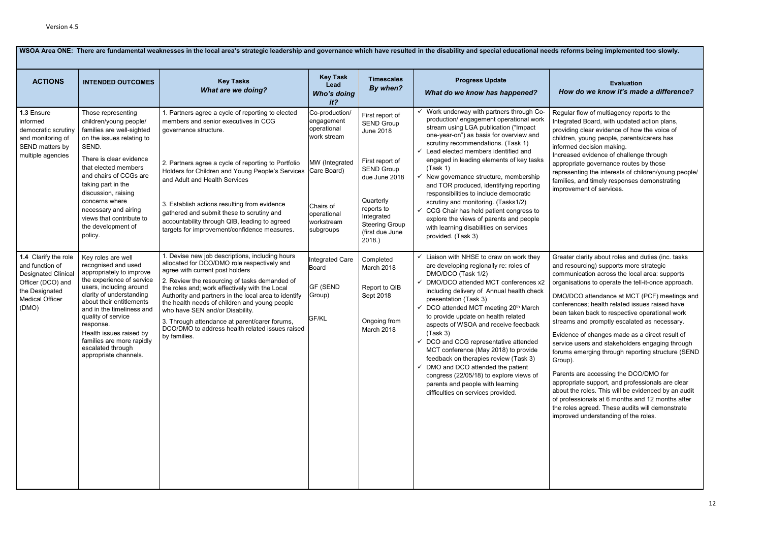### **Evaluation** *How do we know it's made a difference?*

flow of multiagency reports to the ed Board, with updated action plans, clear evidence of how the voice of young people, parents/carers has decision making.

d evidence of challenge through ate governance routes by those iting the interests of children/young people/ and timely responses demonstrating ment of services.

clarity about roles and duties (inc. tasks ourcing) supports more strategic iication across the local area: supports tions to operate the tell-it-once approach.

CO attendance at MCT (PCF) meetings and ices; health related issues raised have en back to respective operational work and promptly escalated as necessary.

of changes made as a direct result of users and stakeholders engaging through  $\epsilon$ merging through reporting structure (SEND

are accessing the DCO/DMO for ate support, and professionals are clear roles. This will be evidenced by an audit sionals at 6 months and 12 months after agreed. These audits will demonstrate I understanding of the roles.

| WSOA Area ONE: There are fundamental weaknesses in the local area's strategic leadership and governance which have resulted in the disability and special educational needs reforn |                                                                                                                                                                                                                                                                                                                                                             |                                                                                                                                                                                                                                                                                                                                                                                                                                                                                                      |                                                                                                                                                    |                                                                                                                                                                                                          |                                                                                                                                                                                                                                                                                                                                                                                                                                                                                                                                                                                                                                                                     |                                                                                                                                                                                                                              |  |
|------------------------------------------------------------------------------------------------------------------------------------------------------------------------------------|-------------------------------------------------------------------------------------------------------------------------------------------------------------------------------------------------------------------------------------------------------------------------------------------------------------------------------------------------------------|------------------------------------------------------------------------------------------------------------------------------------------------------------------------------------------------------------------------------------------------------------------------------------------------------------------------------------------------------------------------------------------------------------------------------------------------------------------------------------------------------|----------------------------------------------------------------------------------------------------------------------------------------------------|----------------------------------------------------------------------------------------------------------------------------------------------------------------------------------------------------------|---------------------------------------------------------------------------------------------------------------------------------------------------------------------------------------------------------------------------------------------------------------------------------------------------------------------------------------------------------------------------------------------------------------------------------------------------------------------------------------------------------------------------------------------------------------------------------------------------------------------------------------------------------------------|------------------------------------------------------------------------------------------------------------------------------------------------------------------------------------------------------------------------------|--|
| <b>ACTIONS</b>                                                                                                                                                                     | <b>INTENDED OUTCOMES</b>                                                                                                                                                                                                                                                                                                                                    | <b>Key Tasks</b><br><b>What are we doing?</b>                                                                                                                                                                                                                                                                                                                                                                                                                                                        | <b>Key Task</b><br>Lead<br>Who's doing<br>$it$ ?                                                                                                   | <b>Timescales</b><br>By when?                                                                                                                                                                            | <b>Progress Update</b><br>What do we know has happened?                                                                                                                                                                                                                                                                                                                                                                                                                                                                                                                                                                                                             | How c                                                                                                                                                                                                                        |  |
| 1.3 Ensure<br>informed<br>democratic scrutiny<br>and monitoring of<br>SEND matters by<br>multiple agencies                                                                         | Those representing<br>children/young people/<br>families are well-sighted<br>on the issues relating to<br>SEND.<br>There is clear evidence<br>that elected members<br>and chairs of CCGs are<br>taking part in the<br>discussion, raising<br>concerns where<br>necessary and airing<br>views that contribute to<br>the development of<br>policy.            | 1. Partners agree a cycle of reporting to elected<br>members and senior executives in CCG<br>governance structure.<br>2. Partners agree a cycle of reporting to Portfolio<br>Holders for Children and Young People's Services<br>and Adult and Health Services<br>3. Establish actions resulting from evidence<br>gathered and submit these to scrutiny and<br>accountability through QIB, leading to agreed<br>targets for improvement/confidence measures.                                         | Co-production/<br>engagement<br>operational<br>work stream<br>MW (Integrated<br>Care Board)<br>Chairs of<br>operational<br>workstream<br>subgroups | First report of<br><b>SEND Group</b><br>June 2018<br>First report of<br><b>SEND Group</b><br>due June 2018<br>Quarterly<br>reports to<br>Integrated<br><b>Steering Group</b><br>(first due June<br>2018. | Work underway with partners through Co-<br>production/ engagement operational work<br>stream using LGA publication ("Impact<br>one-year-on") as basis for overview and<br>scrutiny recommendations. (Task 1)<br>Lead elected members identified and<br>$\checkmark$<br>engaged in leading elements of key tasks<br>(Task 1)<br>New governance structure, membership<br>✓<br>and TOR produced, identifying reporting<br>responsibilities to include democratic<br>scrutiny and monitoring. (Tasks1/2)<br>CCG Chair has held patient congress to<br>explore the views of parents and people<br>with learning disabilities on services<br>provided. (Task 3)           | Regular f<br>Integrate<br>providing<br>children,<br>informed<br>Increase<br>appropria<br>represent<br>families,<br>improven                                                                                                  |  |
| 1.4 Clarify the role<br>and function of<br><b>Designated Clinical</b><br>Officer (DCO) and<br>the Designated<br><b>Medical Officer</b><br>(DMO)                                    | Key roles are well<br>recognised and used<br>appropriately to improve<br>the experience of service<br>users, including around<br>clarity of understanding<br>about their entitlements<br>and in the timeliness and<br>quality of service<br>response.<br>Health issues raised by<br>families are more rapidly<br>escalated through<br>appropriate channels. | 1. Devise new job descriptions, including hours<br>allocated for DCO/DMO role respectively and<br>agree with current post holders<br>2. Review the resourcing of tasks demanded of<br>the roles and; work effectively with the Local<br>Authority and partners in the local area to identify<br>the health needs of children and young people<br>who have SEN and/or Disability.<br>3. Through attendance at parent/carer forums,<br>DCO/DMO to address health related issues raised<br>by families. | <b>Integrated Care</b><br><b>Board</b><br><b>GF (SEND</b><br>Group)<br>GF/KL                                                                       | Completed<br>March 2018<br>Report to QIB<br>Sept 2018<br>Ongoing from<br>March 2018                                                                                                                      | Liaison with NHSE to draw on work they<br>are developing regionally re: roles of<br>DMO/DCO (Task 1/2)<br>DMO/DCO attended MCT conferences x2<br>including delivery of Annual health check<br>presentation (Task 3)<br>DCO attended MCT meeting 20th March<br>$\checkmark$<br>to provide update on health related<br>aspects of WSOA and receive feedback<br>(Task 3)<br>$\checkmark$ DCO and CCG representative attended<br>MCT conference (May 2018) to provide<br>feedback on therapies review (Task 3)<br>DMO and DCO attended the patient<br>congress (22/05/18) to explore views of<br>parents and people with learning<br>difficulties on services provided. | Greater o<br>and resor<br>communi<br>organisat<br>DMO/DC<br>conferen<br>been tak<br>streams a<br>Evidence<br>service u<br>forums el<br>Group).<br>Parents a<br>appropria<br>about the<br>of profes:<br>the roles<br>improved |  |

### **MS** being implemented too slowly.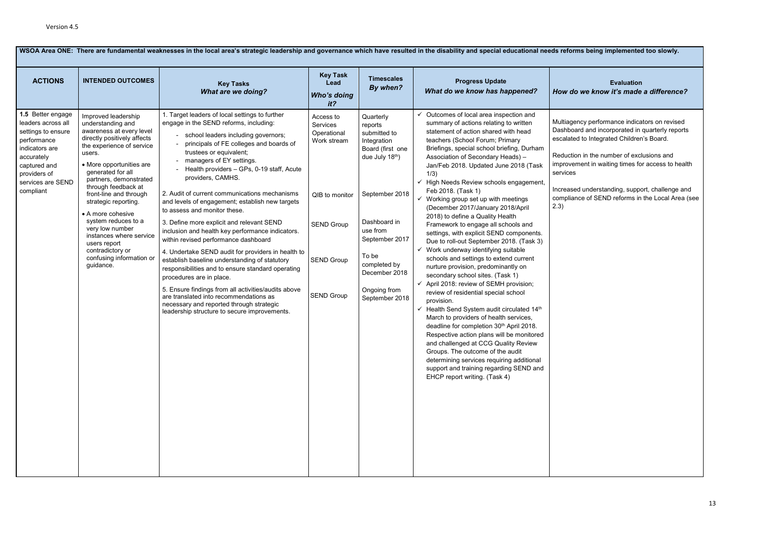### **Evaluation** *How do we know it's made a difference?*

ency performance indicators on revised ard and incorporated in quarterly reports ed to Integrated Children's Board.

on in the number of exclusions and ment in waiting times for access to health

| <b>ACTIONS</b>                                                                                                                                                                 | <b>INTENDED OUTCOMES</b>                                                                                                                                                                                              | <b>Key Tasks</b><br><b>What are we doing?</b>                                                                                                                                                                                                                                                                                                                                                                                                                                                                              | <b>Key Task</b><br>Lead<br><b>Who's doing</b><br>it <sub>2</sub>                                                                                                                                                                                                                                                                | <b>Timescales</b><br>By when?                                                                                          | <b>Progress Update</b><br>What do we know has happened?                                                                                                                                                                                                                                                                                                                                                                                                                                                                                                                                                                                                                                                                                                                                                                                     | <b>How do</b>                |
|--------------------------------------------------------------------------------------------------------------------------------------------------------------------------------|-----------------------------------------------------------------------------------------------------------------------------------------------------------------------------------------------------------------------|----------------------------------------------------------------------------------------------------------------------------------------------------------------------------------------------------------------------------------------------------------------------------------------------------------------------------------------------------------------------------------------------------------------------------------------------------------------------------------------------------------------------------|---------------------------------------------------------------------------------------------------------------------------------------------------------------------------------------------------------------------------------------------------------------------------------------------------------------------------------|------------------------------------------------------------------------------------------------------------------------|---------------------------------------------------------------------------------------------------------------------------------------------------------------------------------------------------------------------------------------------------------------------------------------------------------------------------------------------------------------------------------------------------------------------------------------------------------------------------------------------------------------------------------------------------------------------------------------------------------------------------------------------------------------------------------------------------------------------------------------------------------------------------------------------------------------------------------------------|------------------------------|
| 1.5 Better engage<br>leaders across all<br>settings to ensure<br>performance<br>indicators are<br>accurately<br>captured and<br>providers of<br>services are SEND<br>compliant | Improved leadership<br>understanding and<br>awareness at every level<br>directly positively affects<br>the experience of service<br>users.<br>• More opportunities are<br>generated for all<br>partners, demonstrated | 1. Target leaders of local settings to further<br>Quarterly<br>Access to<br>engage in the SEND reforms, including:<br>Services<br>reports<br>submitted to<br>Operational<br>school leaders including governors;<br>Work stream<br>Integration<br>principals of FE colleges and boards of<br>Board (first one<br>trustees or equivalent;<br>due July 18th)<br>managers of EY settings.<br>Health providers - GPs, 0-19 staff, Acute<br>1/3)<br>providers, CAMHS.                                                            | Outcomes of local area inspection and<br>summary of actions relating to written<br>statement of action shared with head<br>teachers (School Forum; Primary<br>Briefings, special school briefing, Durham<br>Association of Secondary Heads) -<br>Jan/Feb 2018. Updated June 2018 (Task<br>High Needs Review schools engagement, | Multiager<br>Dashboa<br>escalated<br>Reductio<br>improven<br>services                                                  |                                                                                                                                                                                                                                                                                                                                                                                                                                                                                                                                                                                                                                                                                                                                                                                                                                             |                              |
|                                                                                                                                                                                | through feedback at<br>front-line and through<br>strategic reporting.                                                                                                                                                 | 2. Audit of current communications mechanisms<br>and levels of engagement; establish new targets<br>to assess and monitor these.                                                                                                                                                                                                                                                                                                                                                                                           | QIB to monitor                                                                                                                                                                                                                                                                                                                  | September 2018                                                                                                         | Feb 2018. (Task 1)<br>$\checkmark$ Working group set up with meetings<br>(December 2017/January 2018/April                                                                                                                                                                                                                                                                                                                                                                                                                                                                                                                                                                                                                                                                                                                                  | Increase<br>complian<br>2.3) |
|                                                                                                                                                                                | • A more cohesive<br>system reduces to a<br>very low number<br>instances where service<br>users report<br>contradictory or<br>confusing information or<br>guidance.                                                   | 3. Define more explicit and relevant SEND<br>inclusion and health key performance indicators.<br>within revised performance dashboard<br>4. Undertake SEND audit for providers in health to<br>establish baseline understanding of statutory<br>responsibilities and to ensure standard operating<br>procedures are in place.<br>5. Ensure findings from all activities/audits above<br>are translated into recommendations as<br>necessary and reported through strategic<br>leadership structure to secure improvements. | <b>SEND Group</b><br><b>SEND Group</b><br><b>SEND Group</b>                                                                                                                                                                                                                                                                     | Dashboard in<br>use from<br>September 2017<br>To be<br>completed by<br>December 2018<br>Ongoing from<br>September 2018 | 2018) to define a Quality Health<br>Framework to engage all schools and<br>settings, with explicit SEND components.<br>Due to roll-out September 2018. (Task 3)<br>Work underway identifying suitable<br>✓<br>schools and settings to extend current<br>nurture provision, predominantly on<br>secondary school sites. (Task 1)<br>April 2018: review of SEMH provision;<br>review of residential special school<br>provision.<br>$\checkmark$ Health Send System audit circulated 14 <sup>th</sup><br>March to providers of health services,<br>deadline for completion 30th April 2018.<br>Respective action plans will be monitored<br>and challenged at CCG Quality Review<br>Groups. The outcome of the audit<br>determining services requiring additional<br>support and training regarding SEND and<br>EHCP report writing. (Task 4) |                              |

### **was being implemented too slowly.**

Increased understanding, support, challenge and compliance of SEND reforms in the Local Area (see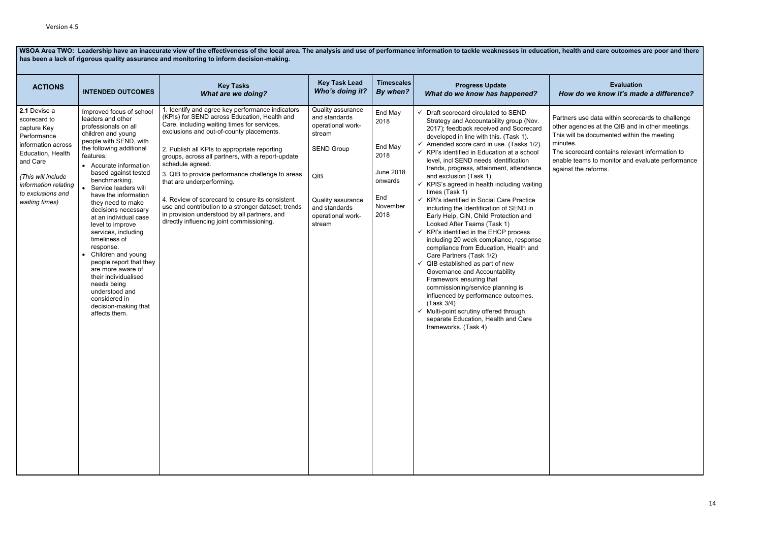**WSOA Area TWO: Leadership have an inaccurate view of the effectiveness of the local area. The analysis and use of performance information to tackle weaknesses in education, health and care outcomes are poor and there has been a lack of rigorous quality assurance and monitoring to inform decision-making.** 

### **Evaluation**  *How do we know it's made a difference?*

s use data within scorecards to challenge jencies at the QIB and in other meetings. be documented within the meeting

recard contains relevant information to teams to monitor and evaluate performance the reforms.

| <b>ACTIONS</b>                                                                                                                                                                                         | <b>INTENDED OUTCOMES</b>                                                                                                                                                                                                                                                                                                                                                                                                                                                                                                                                                                                                              | <b>Key Tasks</b><br><b>What are we doing?</b>                                                                                                                                                                                                                                                                                                                                                                                                                                                                                                                                                               | <b>Key Task Lead</b><br>Who's doing it?                                                                                                                            | <b>Timescales</b><br>By when?                                                                | <b>Progress Update</b><br>What do we know has happened?                                                                                                                                                                                                                                                                                                                                                                                                                                                                                                                                                                                                                                                                                                                                                                                                                                                                                                                                                                                                                      | How o                                                                                   |
|--------------------------------------------------------------------------------------------------------------------------------------------------------------------------------------------------------|---------------------------------------------------------------------------------------------------------------------------------------------------------------------------------------------------------------------------------------------------------------------------------------------------------------------------------------------------------------------------------------------------------------------------------------------------------------------------------------------------------------------------------------------------------------------------------------------------------------------------------------|-------------------------------------------------------------------------------------------------------------------------------------------------------------------------------------------------------------------------------------------------------------------------------------------------------------------------------------------------------------------------------------------------------------------------------------------------------------------------------------------------------------------------------------------------------------------------------------------------------------|--------------------------------------------------------------------------------------------------------------------------------------------------------------------|----------------------------------------------------------------------------------------------|------------------------------------------------------------------------------------------------------------------------------------------------------------------------------------------------------------------------------------------------------------------------------------------------------------------------------------------------------------------------------------------------------------------------------------------------------------------------------------------------------------------------------------------------------------------------------------------------------------------------------------------------------------------------------------------------------------------------------------------------------------------------------------------------------------------------------------------------------------------------------------------------------------------------------------------------------------------------------------------------------------------------------------------------------------------------------|-----------------------------------------------------------------------------------------|
| 2.1 Devise a<br>scorecard to<br>capture Key<br>Performance<br>information across<br>Education, Health<br>and Care<br>(This will include<br>information relating<br>to exclusions and<br>waiting times) | Improved focus of school<br>leaders and other<br>professionals on all<br>children and young<br>people with SEND, with<br>the following additional<br>features:<br>• Accurate information<br>based against tested<br>benchmarking.<br>Service leaders will<br>have the information<br>they need to make<br>decisions necessary<br>at an individual case<br>level to improve<br>services, including<br>timeliness of<br>response.<br>Children and young<br>$\bullet$<br>people report that they<br>are more aware of<br>their individualised<br>needs being<br>understood and<br>considered in<br>decision-making that<br>affects them. | 1. Identify and agree key performance indicators<br>(KPIs) for SEND across Education, Health and<br>Care, including waiting times for services,<br>exclusions and out-of-county placements.<br>2. Publish all KPIs to appropriate reporting<br>groups, across all partners, with a report-update<br>schedule agreed.<br>3. QIB to provide performance challenge to areas<br>that are underperforming.<br>4. Review of scorecard to ensure its consistent<br>use and contribution to a stronger dataset; trends<br>in provision understood by all partners, and<br>directly influencing joint commissioning. | Quality assurance<br>and standards<br>operational work-<br>stream<br><b>SEND Group</b><br>QIB<br>Quality assurance<br>and standards<br>operational work-<br>stream | End May<br>2018<br>End May<br>2018<br><b>June 2018</b><br>onwards<br>End<br>November<br>2018 | Draft scorecard circulated to SEND<br>Strategy and Accountability group (Nov.<br>2017); feedback received and Scorecard<br>developed in line with this. (Task 1).<br>Amended score card in use. (Tasks 1/2).<br>KPI's identified in Education at a school<br>level, incl SEND needs identification<br>trends, progress, attainment, attendance<br>and exclusion (Task 1).<br>KPIS's agreed in health including waiting<br>times (Task 1)<br>KPI's identified in Social Care Practice<br>including the identification of SEND in<br>Early Help, CiN, Child Protection and<br>Looked After Teams (Task 1)<br>KPI's identified in the EHCP process<br>✓<br>including 20 week compliance, response<br>compliance from Education, Health and<br>Care Partners (Task 1/2)<br>QIB established as part of new<br>✓<br>Governance and Accountability<br>Framework ensuring that<br>commissioning/service planning is<br>influenced by performance outcomes.<br>(Task 3/4)<br>Multi-point scrutiny offered through<br>✓<br>separate Education, Health and Care<br>frameworks. (Task 4) | Partners<br>other age<br>This will I<br>minutes.<br>The scor<br>enable te<br>against th |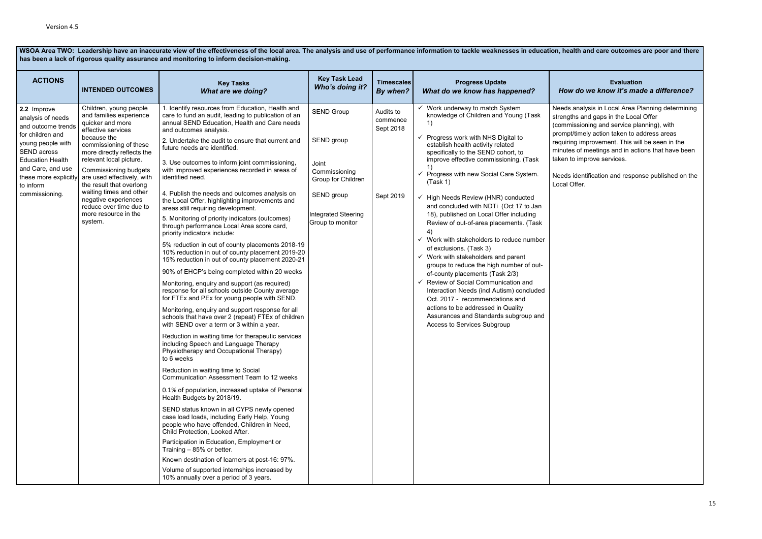**WSOA Area TWO: Leadership have an inaccurate view of the effectiveness of the local area. The analysis and use of performance information to tackle weaknesses in education, health and care outcomes are poor and there has been a lack of rigorous quality assurance and monitoring to inform decision-making.**

**ACTIONS INTENDED OUTCOMES Key Tasks** *What are we doing?* **Key Task Lead** *Who's doing it?* **Timescales** *By when?* **Progress Update** *What do we know has happened?* **Evaluation**  *How do we know it's made a difference?* **2.2** Improve analysis of needs and outcome trends for children and young people with SEND across Education Health and Care, and use these more explicitly to inform commissioning. Children, young people and families experience quicker and more effective services because the commissioning of these more directly reflects the relevant local picture. Commissioning budgets are used effectively, with the result that overlong waiting times and other negative experiences reduce over time due to more resource in the system. 1. Identify resources from Education, Health and care to fund an audit, leading to publication of an annual SEND Education, Health and Care needs and outcomes analysis. 2. Undertake the audit to ensure that current and future needs are identified. 3. Use outcomes to inform joint commissioning, with improved experiences recorded in areas of identified need. 4. Publish the needs and outcomes analysis on the Local Offer, highlighting improvements and areas still requiring development. 5. Monitoring of priority indicators (outcomes) through performance Local Area score card, priority indicators include: 5% reduction in out of county placements 2018-19 10% reduction in out of county placement 2019-20 15% reduction in out of county placement 2020-21 90% of EHCP's being completed within 20 weeks Monitoring, enquiry and support (as required) response for all schools outside County average for FTEx and PEx for young people with SEND. Monitoring, enquiry and support response for all schools that have over 2 (repeat) FTEx of children with SEND over a term or 3 within a year. Reduction in waiting time for therapeutic services including Speech and Language Therapy Physiotherapy and Occupational Therapy) to 6 weeks Reduction in waiting time to Social Communication Assessment Team to 12 weeks 0.1% of population, increased uptake of Personal Health Budgets by 2018/19. SEND status known in all CYPS newly opened case load loads, including Early Help, Young people who have offended, Children in Need, Child Protection, Looked After. Participation in Education, Employment or Training – 85% or better. Known destination of learners at post-16: 97%. Volume of supported internships increased by 10% annually over a period of 3 years. SEND Group SEND group Joint Commissioning Group for Children SEND group Integrated Steering Group to monitor Audits to commence Sept 2018 Sept 2019 Work underway to match System knowledge of Children and Young (Task 1)  $\checkmark$  Progress work with NHS Digital to establish health activity related specifically to the SEND cohort, to improve effective commissioning. (Task 1)  $\checkmark$  Progress with new Social Care System. (Task 1) ✓ High Needs Review (HNR) conducted and concluded with NDTi (Oct 17 to Jan 18), published on Local Offer including Review of out-of-area placements. (Task 4)  $\checkmark$  Work with stakeholders to reduce number of exclusions. (Task 3)  $\checkmark$  Work with stakeholders and parent groups to reduce the high number of outof-county placements (Task 2/3) ✓ Review of Social Communication and Interaction Needs (incl Autism) concluded Oct. 2017 - recommendations and actions to be addressed in Quality Assurances and Standards subgroup and Access to Services Subgroup Needs analysis in Local Area Planning determining strengths and gaps in the Local Offer (commissioning and service planning), with prompt/timely action taken to address areas requiring improvement. This will be seen in the minutes of meetings and in actions that have been taken to improve services. Needs identification and response published on the Local Offer.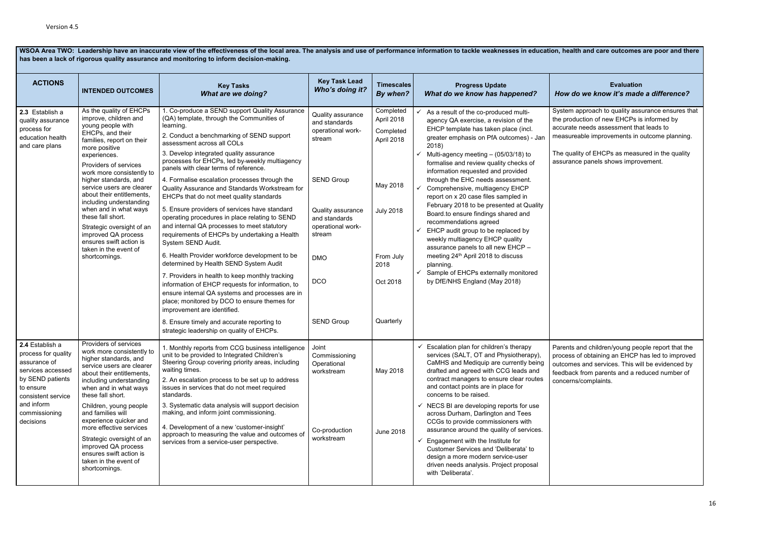WSOA Area TWO: Leadership have an inaccurate view of the effectiveness of the local area. The analysis and use of performance information to tackle weaknesses in education, health and care outcomes are poor and there **has been a lack of rigorous quality assurance and monitoring to inform decision-making.**

**ACTIONS INTENDED OUTCOMES Key Tasks** *What are we doing?* **Key Task Lead** *Who's doing it?* **Timescales** *By when?* **Progress Update**  *What do we know has happened?* **Evaluation** *How do we know it's made a difference?* **2.3** Establish a quality assurance process for education health and care plans As the quality of EHCPs improve, children and young people with EHCPs, and their families, report on their more positive experiences. Providers of services work more consistently to higher standards, and service users are clearer about their entitlements, including understanding when and in what ways these fall short. Strategic oversight of an improved QA process ensures swift action is taken in the event of shortcomings. 1. Co-produce a SEND support Quality Assurance (QA) template, through the Communities of learning. 2. Conduct a benchmarking of SEND support assessment across all COLs 3. Develop integrated quality assurance processes for EHCPs, led by weekly multiagency panels with clear terms of reference. 4. Formalise escalation processes through the Quality Assurance and Standards Workstream for EHCPs that do not meet quality standards 5. Ensure providers of services have standard operating procedures in place relating to SEND and internal QA processes to meet statutory requirements of EHCPs by undertaking a Health System SEND Audit. 6. Health Provider workforce development to be determined by Health SEND System Audit 7. Providers in health to keep monthly tracking information of EHCP requests for information, to ensure internal QA systems and processes are in place; monitored by DCO to ensure themes for improvement are identified. 8. Ensure timely and accurate reporting to strategic leadership on quality of EHCPs. Quality assurance and standards operational workstream SEND Group Quality assurance and standards operational workstream DMO **DCO** SEND Group **Completed** April 2018 **Completed** April 2018 May 2018 July 2018 From July 2018 Oct 2018 **Quarterly** As a result of the co-produced multiagency QA exercise, a revision of the EHCP template has taken place (incl. greater emphasis on PfA outcomes) - Jan 2018)  $\checkmark$  Multi-agency meeting – (05/03/18) to formalise and review quality checks of information requested and provided through the EHC needs assessment. Comprehensive, multiagency EHCP report on x 20 case files sampled in February 2018 to be presented at Quality Board.to ensure findings shared and recommendations agreed EHCP audit group to be replaced by weekly multiagency EHCP quality assurance panels to all new EHCP – meeting 24th April 2018 to discuss planning. Sample of EHCPs externally monitored by DfE/NHS England (May 2018) System approach to quality assurance ensures that the production of new EHCPs is informed by accurate needs assessment that leads to measureable improvements in outcome planning. The quality of EHCPs as measured in the quality assurance panels shows improvement. **2.4** Establish a process for quality assurance of services accessed by SEND patients to ensure consistent service and inform commissioning decisions Providers of services work more consistently to higher standards, and service users are clearer about their entitlements, including understanding when and in what ways these fall short. Children, young people and families will experience quicker and more effective services Strategic oversight of an improved QA process ensures swift action is taken in the event of shortcomings. 1. Monthly reports from CCG business intelligence unit to be provided to Integrated Children's Steering Group covering priority areas, including waiting times. 2. An escalation process to be set up to address issues in services that do not meet required standards. 3. Systematic data analysis will support decision making, and inform joint commissioning. 4. Development of a new 'customer-insight' approach to measuring the value and outcomes of services from a service-user perspective. Joint Commissioning **Operational** workstream Co-production workstream May 2018 June 2018  $\checkmark$  Escalation plan for children's therapy services (SALT, OT and Physiotherapy), CaMHS and Mediquip are currently being drafted and agreed with CCG leads and contract managers to ensure clear routes and contact points are in place for concerns to be raised.  $\checkmark$  NECS BI are developing reports for use across Durham, Darlington and Tees CCGs to provide commissioners with assurance around the quality of services.  $\checkmark$  Engagement with the Institute for Customer Services and 'Deliberata' to design a more modern service-user driven needs analysis. Project proposal with 'Deliberata'. Parents and children/young people report that the process of obtaining an EHCP has led to improved outcomes and services. This will be evidenced by feedback from parents and a reduced number of concerns/complaints.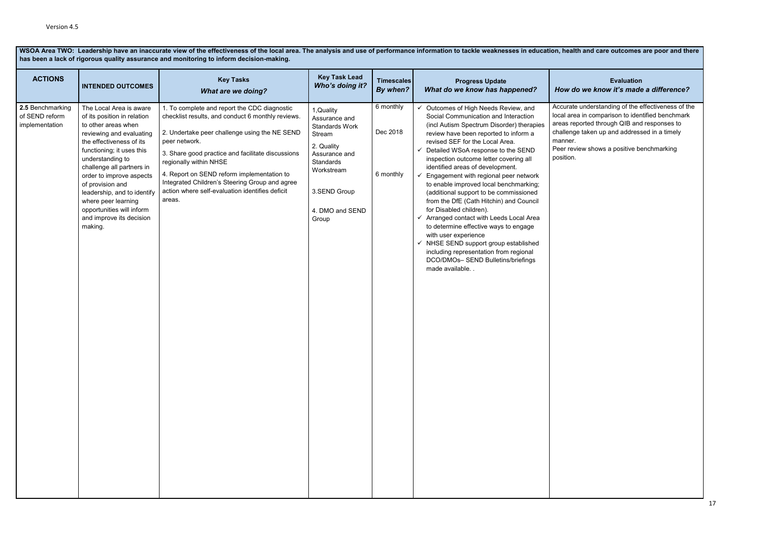WSOA Area TWO: Leadership have an inaccurate view of the effectiveness of the local area. The analysis and use of performance information to tackle weaknesses in education, health and care outcomes are poor and there has b **has been a lack of rigorous quality assurance and monitoring to inform decision-making.**

### **Evaluation** *How do we know it's made a difference?*

e understanding of the effectiveness of the ea in comparison to identified benchmark ported through QIB and responses to je taken up and addressed in a timely

view shows a positive benchmarking

| <b>ACTIONS</b>                                       | <b>INTENDED OUTCOMES</b>                                                                                                                                                                                                                                                                                                                                                                      | <b>Key Tasks</b><br><b>What are we doing?</b>                                                                                                                                                                                                                                                                                                                                                                   | <b>Key Task Lead</b><br>Who's doing it?                                                                                                                              | <b>Timescales</b><br>By when?      | <b>Progress Update</b><br>What do we know has happened?                                                                                                                                                                                                                                                                                                                                                                                                                                                                                                                                                                                                                                                                                                                                                                          | How do                                                                            |
|------------------------------------------------------|-----------------------------------------------------------------------------------------------------------------------------------------------------------------------------------------------------------------------------------------------------------------------------------------------------------------------------------------------------------------------------------------------|-----------------------------------------------------------------------------------------------------------------------------------------------------------------------------------------------------------------------------------------------------------------------------------------------------------------------------------------------------------------------------------------------------------------|----------------------------------------------------------------------------------------------------------------------------------------------------------------------|------------------------------------|----------------------------------------------------------------------------------------------------------------------------------------------------------------------------------------------------------------------------------------------------------------------------------------------------------------------------------------------------------------------------------------------------------------------------------------------------------------------------------------------------------------------------------------------------------------------------------------------------------------------------------------------------------------------------------------------------------------------------------------------------------------------------------------------------------------------------------|-----------------------------------------------------------------------------------|
| 2.5 Benchmarking<br>of SEND reform<br>implementation | The Local Area is aware<br>of its position in relation<br>to other areas when<br>reviewing and evaluating<br>the effectiveness of its<br>functioning; it uses this<br>understanding to<br>challenge all partners in<br>order to improve aspects<br>of provision and<br>leadership, and to identify<br>where peer learning<br>opportunities will inform<br>and improve its decision<br>making. | 1. To complete and report the CDC diagnostic<br>checklist results, and conduct 6 monthly reviews.<br>2. Undertake peer challenge using the NE SEND<br>peer network.<br>3. Share good practice and facilitate discussions<br>regionally within NHSE<br>4. Report on SEND reform implementation to<br>Integrated Children's Steering Group and agree<br>action where self-evaluation identifies deficit<br>areas. | 1, Quality<br>Assurance and<br><b>Standards Work</b><br>Stream<br>2. Quality<br>Assurance and<br>Standards<br>Workstream<br>3.SEND Group<br>4. DMO and SEND<br>Group | 6 monthly<br>Dec 2018<br>6 monthly | Outcomes of High Needs Review, and<br>$\checkmark$<br>Social Communication and Interaction<br>(incl Autism Spectrum Disorder) therapies<br>review have been reported to inform a<br>revised SEF for the Local Area.<br>Detailed WSoA response to the SEND<br>✓<br>inspection outcome letter covering all<br>identified areas of development.<br>Engagement with regional peer network<br>to enable improved local benchmarking;<br>(additional support to be commissioned<br>from the DfE (Cath Hitchin) and Council<br>for Disabled children).<br>Arranged contact with Leeds Local Area<br>$\checkmark$<br>to determine effective ways to engage<br>with user experience<br>$\checkmark$ NHSE SEND support group established<br>including representation from regional<br>DCO/DMOs- SEND Bulletins/briefings<br>made available | Accurate<br>local are<br>areas re<br>challeng<br>manner.<br>Peer rev<br>position. |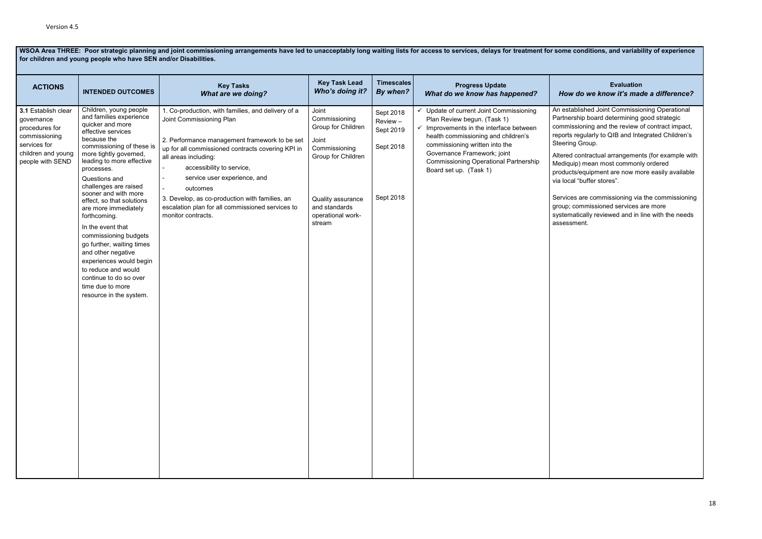### **Evaluation**  *How do we know it's made a difference?*

blished Joint Commissioning Operational ship board determining good strategic sioning and the review of contract impact, regularly to QIB and Integrated Children's Group.

contractual arrangements (for example with p) mean most commonly ordered

s/equipment are now more easily available l "buffer stores".

are commissioning via the commissioning commissioned services are more

atically reviewed and in line with the needs nent.

|                                                                                                                                | for children and young people who have SEN and/or Disabilities.                                                                                                                                                                                                                                                                                                                                                                                                                                                                                                                 |                                                                                                                                                                                                                                                                                                                                                                                                                             |                                                                                                                                                                   |                                                              |                                                                                                                                                                                                                                                                                                   |                                                                                                                                                           |  |  |
|--------------------------------------------------------------------------------------------------------------------------------|---------------------------------------------------------------------------------------------------------------------------------------------------------------------------------------------------------------------------------------------------------------------------------------------------------------------------------------------------------------------------------------------------------------------------------------------------------------------------------------------------------------------------------------------------------------------------------|-----------------------------------------------------------------------------------------------------------------------------------------------------------------------------------------------------------------------------------------------------------------------------------------------------------------------------------------------------------------------------------------------------------------------------|-------------------------------------------------------------------------------------------------------------------------------------------------------------------|--------------------------------------------------------------|---------------------------------------------------------------------------------------------------------------------------------------------------------------------------------------------------------------------------------------------------------------------------------------------------|-----------------------------------------------------------------------------------------------------------------------------------------------------------|--|--|
| <b>ACTIONS</b>                                                                                                                 | <b>INTENDED OUTCOMES</b>                                                                                                                                                                                                                                                                                                                                                                                                                                                                                                                                                        | <b>Key Tasks</b><br><b>What are we doing?</b>                                                                                                                                                                                                                                                                                                                                                                               | <b>Key Task Lead</b><br>Who's doing it?                                                                                                                           | <b>Timescales</b><br>By when?                                | <b>Progress Update</b><br>What do we know has happened?                                                                                                                                                                                                                                           | How                                                                                                                                                       |  |  |
| 3.1 Establish clear<br>governance<br>procedures for<br>commissioning<br>services for<br>children and young<br>people with SEND | Children, young people<br>and families experience<br>quicker and more<br>effective services<br>because the<br>commissioning of these is<br>more tightly governed,<br>leading to more effective<br>processes.<br>Questions and<br>challenges are raised<br>sooner and with more<br>effect, so that solutions<br>are more immediately<br>forthcoming.<br>In the event that<br>commissioning budgets<br>go further, waiting times<br>and other negative<br>experiences would begin<br>to reduce and would<br>continue to do so over<br>time due to more<br>resource in the system. | 1. Co-production, with families, and delivery of a<br>Joint Commissioning Plan<br>2. Performance management framework to be set<br>up for all commissioned contracts covering KPI in<br>all areas including:<br>accessibility to service,<br>$\sim$<br>service user experience, and<br>outcomes<br>3. Develop, as co-production with families, an<br>escalation plan for all commissioned services to<br>monitor contracts. | Joint<br>Commissioning<br>Group for Children<br>Joint<br>Commissioning<br>Group for Children<br>Quality assurance<br>and standards<br>operational work-<br>stream | Sept 2018<br>Review -<br>Sept 2019<br>Sept 2018<br>Sept 2018 | ✓ Update of current Joint Commissioning<br>Plan Review begun. (Task 1)<br>Improvements in the interface between<br>health commissioning and children's<br>commissioning written into the<br>Governance Framework; joint<br><b>Commissioning Operational Partnership</b><br>Board set up. (Task 1) | An estab<br>Partners<br>commiss<br>reports r<br>Steering<br>Altered o<br>Mediquip<br>products<br>via local<br>Services<br>group; co<br>systema<br>assessm |  |  |
|                                                                                                                                |                                                                                                                                                                                                                                                                                                                                                                                                                                                                                                                                                                                 |                                                                                                                                                                                                                                                                                                                                                                                                                             |                                                                                                                                                                   |                                                              |                                                                                                                                                                                                                                                                                                   |                                                                                                                                                           |  |  |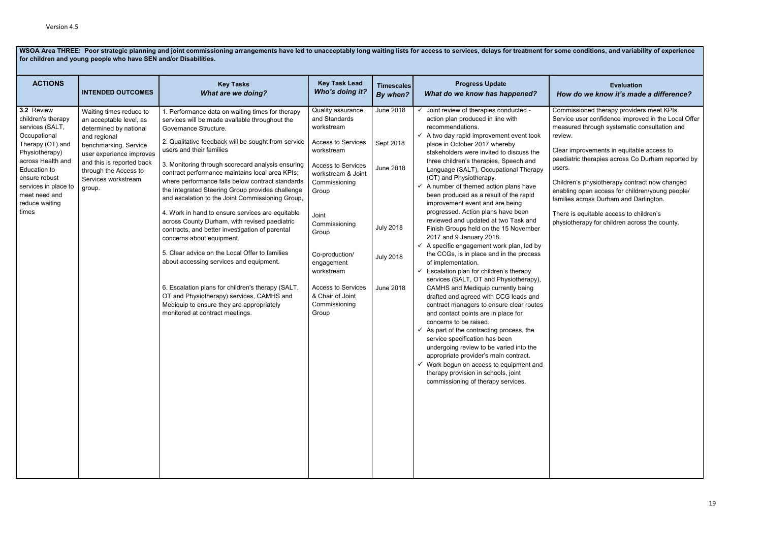**for children and young people who have SEN and/or Disabilities. ACTIONS INTENDED OUTCOMES Key Tasks** *What are we doing?* **Key Task Lead** *Who's doing it?* **Timescales** *By when?* **Progress Update**  *What do we know has happened?* **Evaluation**  *How do we know it's made a difference?* **3.2** Review children's therapy services (SALT, **Occupational** Therapy (OT) and Physiotherapy) across Health and Education to ensure robust services in place to meet need and reduce waiting times Waiting times reduce to an acceptable level, as determined by national and regional benchmarking. Service user experience improves and this is reported back through the Access to Services workstream group. 1. Performance data on waiting times for therapy services will be made available throughout the Governance Structure. 2. Qualitative feedback will be sought from service users and their families 3. Monitoring through scorecard analysis ensuring contract performance maintains local area KPIs; where performance falls below contract standards the Integrated Steering Group provides challenge and escalation to the Joint Commissioning Group, 4. Work in hand to ensure services are equitable across County Durham, with revised paediatric contracts, and better investigation of parental concerns about equipment. 5. Clear advice on the Local Offer to families about accessing services and equipment. 6. Escalation plans for children's therapy (SALT, OT and Physiotherapy) services, CAMHS and Mediquip to ensure they are appropriately monitored at contract meetings. Quality assurance and Standards workstream Access to Services workstream Access to Services workstream & Joint Commissioning Group Joint Commissioning **Group** Co-production/ engagement workstream Access to Services & Chair of Joint Commissioning **Group** June 2018 Sept 2018 June 2018 July 2018 July 2018 June 2018 Joint review of therapies conducted action plan produced in line with recommendations.  $\checkmark$  A two day rapid improvement event took place in October 2017 whereby stakeholders were invited to discuss the three children's therapies, Speech and Language (SALT), Occupational Therapy (OT) and Physiotherapy.  $\checkmark$  A number of themed action plans have been produced as a result of the rapid improvement event and are being progressed. Action plans have been reviewed and updated at two Task and Finish Groups held on the 15 November 2017 and 9 January 2018.  $\checkmark$  A specific engagement work plan, led by the CCGs, is in place and in the process of implementation.  $\checkmark$  Escalation plan for children's therapy services (SALT, OT and Physiotherapy). CAMHS and Mediquip currently being drafted and agreed with CCG leads and contract managers to ensure clear routes and contact points are in place for concerns to be raised.  $\checkmark$  As part of the contracting process, the service specification has been undergoing review to be varied into the appropriate provider's main contract.  $\checkmark$  Work begun on access to equipment and therapy provision in schools, joint commissioning of therapy services. Commissioned therapy providers meet KPIs. Service user confidence improved in the Local Offer measured through systematic consultation and review. Clear improvements in equitable access to paediatric therapies across Co Durham reported by users. Children's physiotherapy contract now changed enabling open access for children/young people/ families across Durham and Darlington. There is equitable access to children's physiotherapy for children across the county.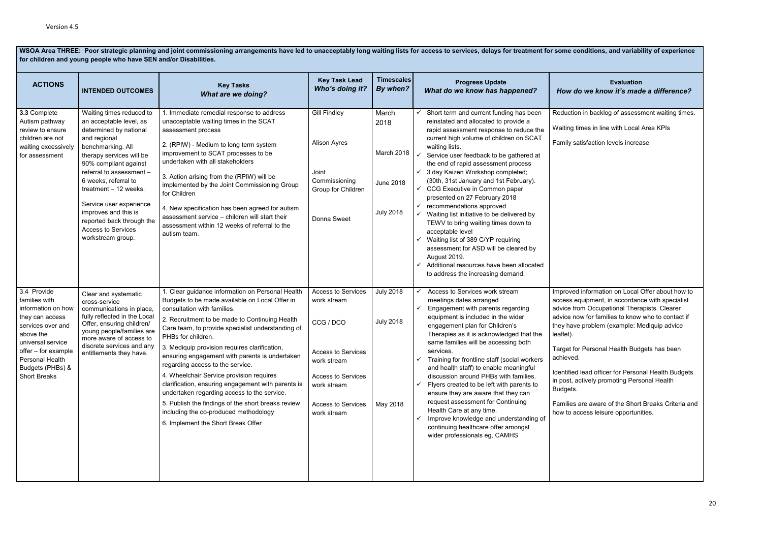### **Evaluation**  *How do we know it's made a difference?*

on in backlog of assessment waiting times.

times in line with Local Area KPIs

atisfaction levels increase

d information on Local Offer about how to equipment, in accordance with specialist rom Occupational Therapists. Clearer now for families to know who to contact if ve problem (example: Mediquip advice

or Personal Health Budgets has been  $\mathsf{d}$ 

d lead officer for Personal Health Budgets actively promoting Personal Health

s are aware of the Short Breaks Criteria and access leisure opportunities.

| for children and young people who have SEN and/or Disabilities.                                                                                                                                                   |                                                                                                                                                                                                                                                                                                                                                                                        |                                                                                                                                                                                                                                                                                                                                                                                                                                                                                                                                                                                                                                                                                             |                                                                                                                                                                             |                                                                     |                                                                                                                                                                                                                                                                                                                                                                                                                                                                                                                                                                                                                                                                                                                                                                                     |                                                                                                                                                                         |  |
|-------------------------------------------------------------------------------------------------------------------------------------------------------------------------------------------------------------------|----------------------------------------------------------------------------------------------------------------------------------------------------------------------------------------------------------------------------------------------------------------------------------------------------------------------------------------------------------------------------------------|---------------------------------------------------------------------------------------------------------------------------------------------------------------------------------------------------------------------------------------------------------------------------------------------------------------------------------------------------------------------------------------------------------------------------------------------------------------------------------------------------------------------------------------------------------------------------------------------------------------------------------------------------------------------------------------------|-----------------------------------------------------------------------------------------------------------------------------------------------------------------------------|---------------------------------------------------------------------|-------------------------------------------------------------------------------------------------------------------------------------------------------------------------------------------------------------------------------------------------------------------------------------------------------------------------------------------------------------------------------------------------------------------------------------------------------------------------------------------------------------------------------------------------------------------------------------------------------------------------------------------------------------------------------------------------------------------------------------------------------------------------------------|-------------------------------------------------------------------------------------------------------------------------------------------------------------------------|--|
| <b>ACTIONS</b>                                                                                                                                                                                                    | <b>INTENDED OUTCOMES</b>                                                                                                                                                                                                                                                                                                                                                               | <b>Key Tasks</b><br><b>What are we doing?</b>                                                                                                                                                                                                                                                                                                                                                                                                                                                                                                                                                                                                                                               | <b>Key Task Lead</b><br>Who's doing it?                                                                                                                                     | <b>Timescales</b><br>By when?                                       | <b>Progress Update</b><br>What do we know has happened?                                                                                                                                                                                                                                                                                                                                                                                                                                                                                                                                                                                                                                                                                                                             | How do                                                                                                                                                                  |  |
| 3.3 Complete<br>Autism pathway<br>review to ensure<br>children are not<br>waiting excessively<br>for assessment                                                                                                   | Waiting times reduced to<br>an acceptable level, as<br>determined by national<br>and regional<br>benchmarking. All<br>therapy services will be<br>90% compliant against<br>referral to assessment -<br>6 weeks, referral to<br>treatment - 12 weeks.<br>Service user experience<br>improves and this is<br>reported back through the<br><b>Access to Services</b><br>workstream group. | 1. Immediate remedial response to address<br>unacceptable waiting times in the SCAT<br>assessment process<br>2. (RPIW) - Medium to long term system<br>improvement to SCAT processes to be<br>undertaken with all stakeholders<br>3. Action arising from the (RPIW) will be<br>implemented by the Joint Commissioning Group<br>for Children<br>4. New specification has been agreed for autism<br>assessment service - children will start their<br>assessment within 12 weeks of referral to the<br>autism team.                                                                                                                                                                           | <b>Gill Findley</b><br>Alison Ayres<br>Joint<br>Commissioning<br>Group for Children<br>Donna Sweet                                                                          | March<br>2018<br>March 2018<br><b>June 2018</b><br><b>July 2018</b> | Short term and current funding has been<br>reinstated and allocated to provide a<br>rapid assessment response to reduce the<br>current high volume of children on SCAT<br>waiting lists.<br>Service user feedback to be gathered at<br>✓<br>the end of rapid assessment process<br>3 day Kaizen Workshop completed;<br>(30th, 31st January and 1st February).<br>CCG Executive in Common paper<br>$\checkmark$<br>presented on 27 February 2018<br>recommendations approved<br>✓<br>Waiting list initiative to be delivered by<br>TEWV to bring waiting times down to<br>acceptable level<br>Waiting list of 389 C/YP requiring<br>✓<br>assessment for ASD will be cleared by<br>August 2019.<br>Additional resources have been allocated<br>✓<br>to address the increasing demand. | Reduction<br>Waiting ti<br>Family sa                                                                                                                                    |  |
| 3.4 Provide<br>families with<br>information on how<br>they can access<br>services over and<br>above the<br>universal service<br>offer - for example<br>Personal Health<br>Budgets (PHBs) &<br><b>Short Breaks</b> | Clear and systematic<br>cross-service<br>communications in place,<br>fully reflected in the Local<br>Offer, ensuring children/<br>young people/families are<br>more aware of access to<br>discrete services and any<br>entitlements they have.                                                                                                                                         | 1. Clear guidance information on Personal Health<br>Budgets to be made available on Local Offer in<br>consultation with families.<br>2. Recruitment to be made to Continuing Health<br>Care team, to provide specialist understanding of<br>PHBs for children.<br>3. Mediquip provision requires clarification,<br>ensuring engagement with parents is undertaken<br>regarding access to the service.<br>4. Wheelchair Service provision requires<br>clarification, ensuring engagement with parents is<br>undertaken regarding access to the service.<br>5. Publish the findings of the short breaks review<br>including the co-produced methodology<br>6. Implement the Short Break Offer | <b>Access to Services</b><br>work stream<br>CCG / DCO<br>Access to Services<br>work stream<br>Access to Services<br>work stream<br><b>Access to Services</b><br>work stream | <b>July 2018</b><br><b>July 2018</b><br>May 2018                    | Access to Services work stream<br>meetings dates arranged<br>Engagement with parents regarding<br>✓<br>equipment is included in the wider<br>engagement plan for Children's<br>Therapies as it is acknowledged that the<br>same families will be accessing both<br>services.<br>Training for frontline staff (social workers<br>✓<br>and health staff) to enable meaningful<br>discussion around PHBs with families.<br>Flyers created to be left with parents to<br>✓<br>ensure they are aware that they can<br>request assessment for Continuing<br>Health Care at any time.<br>Improve knowledge and understanding of<br>✓<br>continuing healthcare offer amongst<br>wider professionals eg, CAMHS                                                                               | Improved<br>access e<br>advice fro<br>advice no<br>they have<br>leaflet).<br>Target for<br>achieved.<br>Identified<br>in post, a<br>Budgets.<br>Families a<br>how to ac |  |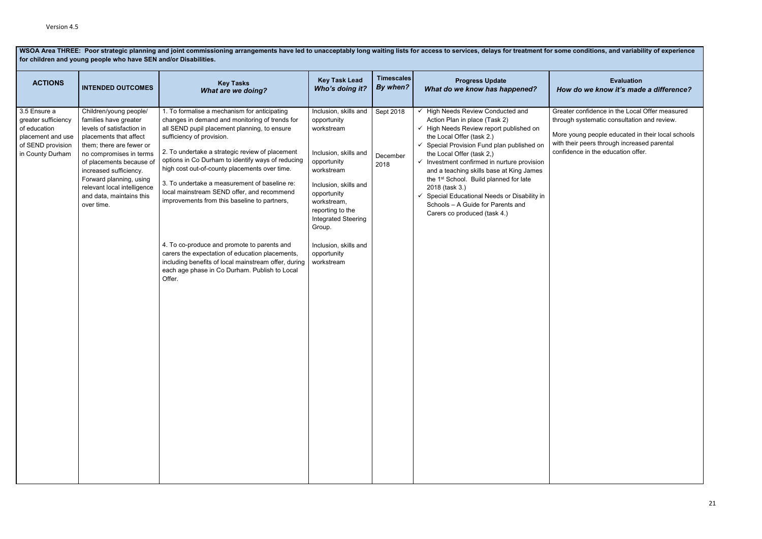### **Evaluation**  *How do we know it's made a difference?*

r confidence in the Local Offer measured i systematic consultation and review.

oung people educated in their local schools  $\frac{1}{2}$  peers through increased parental nce in the education offer.

| for children and young people who have SEN and/or Disabilities.                                                   |                                                                                                                                                                                                                                                                                                                         |                                                                                                                                                                                                                                                                                                                                                                                                                                                                                                                                                                                                                                                                                                          |                                                                                                                                                                                                                                                                                   |                               |                                                                                                                                                                                                                                                                                                                                                                                                                                                                                                                                     |                                                        |  |
|-------------------------------------------------------------------------------------------------------------------|-------------------------------------------------------------------------------------------------------------------------------------------------------------------------------------------------------------------------------------------------------------------------------------------------------------------------|----------------------------------------------------------------------------------------------------------------------------------------------------------------------------------------------------------------------------------------------------------------------------------------------------------------------------------------------------------------------------------------------------------------------------------------------------------------------------------------------------------------------------------------------------------------------------------------------------------------------------------------------------------------------------------------------------------|-----------------------------------------------------------------------------------------------------------------------------------------------------------------------------------------------------------------------------------------------------------------------------------|-------------------------------|-------------------------------------------------------------------------------------------------------------------------------------------------------------------------------------------------------------------------------------------------------------------------------------------------------------------------------------------------------------------------------------------------------------------------------------------------------------------------------------------------------------------------------------|--------------------------------------------------------|--|
| <b>ACTIONS</b>                                                                                                    | <b>INTENDED OUTCOMES</b>                                                                                                                                                                                                                                                                                                | <b>Key Tasks</b><br><b>What are we doing?</b>                                                                                                                                                                                                                                                                                                                                                                                                                                                                                                                                                                                                                                                            | <b>Key Task Lead</b><br>Who's doing it?                                                                                                                                                                                                                                           | <b>Timescales</b><br>By when? | <b>Progress Update</b><br>What do we know has happened?                                                                                                                                                                                                                                                                                                                                                                                                                                                                             | How o                                                  |  |
| 3.5 Ensure a<br>greater sufficiency<br>of education<br>placement and use<br>of SEND provision<br>in County Durham | Children/young people/<br>families have greater<br>levels of satisfaction in<br>placements that affect<br>them; there are fewer or<br>no compromises in terms<br>of placements because of<br>increased sufficiency.<br>Forward planning, using<br>relevant local intelligence<br>and data, maintains this<br>over time. | 1. To formalise a mechanism for anticipating<br>changes in demand and monitoring of trends for<br>all SEND pupil placement planning, to ensure<br>sufficiency of provision.<br>2. To undertake a strategic review of placement<br>options in Co Durham to identify ways of reducing<br>high cost out-of-county placements over time.<br>3. To undertake a measurement of baseline re:<br>local mainstream SEND offer, and recommend<br>improvements from this baseline to partners,<br>4. To co-produce and promote to parents and<br>carers the expectation of education placements,<br>including benefits of local mainstream offer, during<br>each age phase in Co Durham. Publish to Local<br>Offer. | Inclusion, skills and<br>opportunity<br>workstream<br>Inclusion, skills and<br>opportunity<br>workstream<br>Inclusion, skills and<br>opportunity<br>workstream,<br>reporting to the<br><b>Integrated Steering</b><br>Group.<br>Inclusion, skills and<br>opportunity<br>workstream | Sept 2018<br>December<br>2018 | ← High Needs Review Conducted and<br>Action Plan in place (Task 2)<br>← High Needs Review report published on<br>the Local Offer (task 2.)<br>$\checkmark$ Special Provision Fund plan published on<br>the Local Offer (task 2,)<br>$\checkmark$ Investment confirmed in nurture provision<br>and a teaching skills base at King James<br>the 1 <sup>st</sup> School. Build planned for late<br>2018 (task 3.)<br>✓ Special Educational Needs or Disability in<br>Schools - A Guide for Parents and<br>Carers co produced (task 4.) | Greater<br>through<br>More yo<br>with thei<br>confider |  |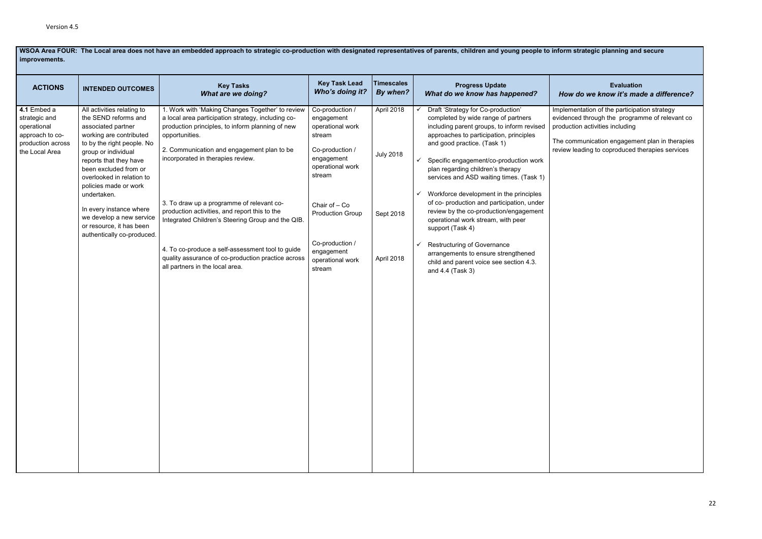**WSOA Area FOUR: The Local area does not have an embedded approach to strategic co-production with designated representatives of parents, children and young people to inform strategic planning and secure improvements.** 

### **Evaluation**  *How do we know it's made a difference?*

entation of the participation strategy ed through the programme of relevant co on activities including

 $n$ munication engagement plan in therapies eading to coproduced therapies services

| <b>ACTIONS</b>                                                                                        | <b>INTENDED OUTCOMES</b>                                                                                                                                                                                                                                                                                                                                                                          | <b>Key Tasks</b><br><b>What are we doing?</b>                                                                                                                                                                                                                                                                                                                                                                                                                                                                                                                   | <b>Key Task Lead</b><br>Who's doing it?                                                                                                                                                                                               | <b>Timescales</b><br>By when?                             | <b>Progress Update</b><br>What do we know has happened?                                                                                                                                                                                                                                                                                                                                                                                                                                                                                                                                                                                                                         | How                                                      |
|-------------------------------------------------------------------------------------------------------|---------------------------------------------------------------------------------------------------------------------------------------------------------------------------------------------------------------------------------------------------------------------------------------------------------------------------------------------------------------------------------------------------|-----------------------------------------------------------------------------------------------------------------------------------------------------------------------------------------------------------------------------------------------------------------------------------------------------------------------------------------------------------------------------------------------------------------------------------------------------------------------------------------------------------------------------------------------------------------|---------------------------------------------------------------------------------------------------------------------------------------------------------------------------------------------------------------------------------------|-----------------------------------------------------------|---------------------------------------------------------------------------------------------------------------------------------------------------------------------------------------------------------------------------------------------------------------------------------------------------------------------------------------------------------------------------------------------------------------------------------------------------------------------------------------------------------------------------------------------------------------------------------------------------------------------------------------------------------------------------------|----------------------------------------------------------|
| 4.1 Embed a<br>strategic and<br>operational<br>approach to co-<br>production across<br>the Local Area | All activities relating to<br>the SEND reforms and<br>associated partner<br>working are contributed<br>to by the right people. No<br>group or individual<br>reports that they have<br>been excluded from or<br>overlooked in relation to<br>policies made or work<br>undertaken.<br>In every instance where<br>we develop a new service<br>or resource, it has been<br>authentically co-produced. | 1. Work with 'Making Changes Together' to review<br>a local area participation strategy, including co-<br>production principles, to inform planning of new<br>opportunities.<br>2. Communication and engagement plan to be<br>incorporated in therapies review.<br>3. To draw up a programme of relevant co-<br>production activities, and report this to the<br>Integrated Children's Steering Group and the QIB.<br>4. To co-produce a self-assessment tool to guide<br>quality assurance of co-production practice across<br>all partners in the local area. | Co-production /<br>engagement<br>operational work<br>stream<br>Co-production /<br>engagement<br>operational work<br>stream<br>Chair of - Co<br><b>Production Group</b><br>Co-production /<br>engagement<br>operational work<br>stream | April 2018<br><b>July 2018</b><br>Sept 2018<br>April 2018 | Draft 'Strategy for Co-production'<br>completed by wide range of partners<br>including parent groups, to inform revised<br>approaches to participation, principles<br>and good practice. (Task 1)<br>Specific engagement/co-production work<br>✓<br>plan regarding children's therapy<br>services and ASD waiting times. (Task 1)<br>Workforce development in the principles<br>✓<br>of co- production and participation, under<br>review by the co-production/engagement<br>operational work stream, with peer<br>support (Task 4)<br><b>Restructuring of Governance</b><br>arrangements to ensure strengthened<br>child and parent voice see section 4.3.<br>and 4.4 (Task 3) | Impleme<br>evidence<br>productio<br>The com<br>review le |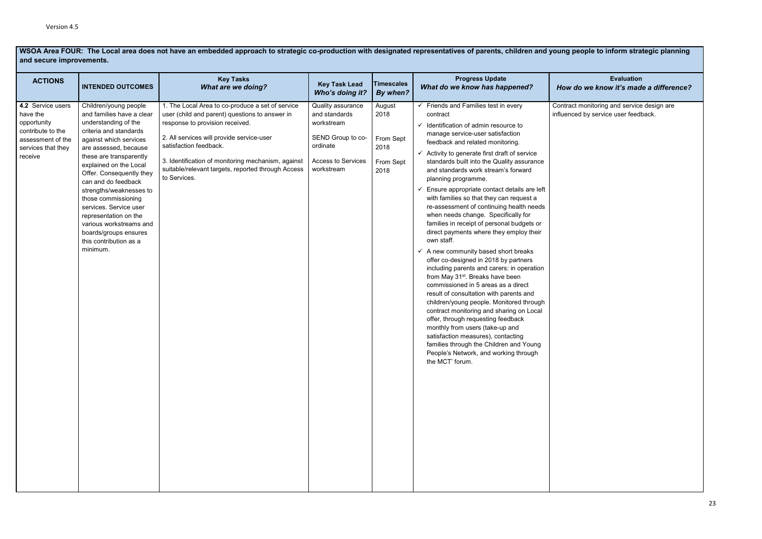**WSOA Area FOUR: The Local area does not have an embedded approach to strategic co-production with designated representatives of parents, children and young people to inform strategic planning and secure improvements.**

**Evaluation**  *How do we know it's made a difference?*

ct monitoring and service design are ced by service user feedback.

| <b>ACTIONS</b>                                                                                                          | <b>INTENDED OUTCOMES</b>                                                                                                                                                                                                                                                                                                                                                                                                                                       | <b>Key Tasks</b><br><b>What are we doing?</b>                                                                                                                                                                                                                                                                                            | <b>Key Task Lead</b><br>Who's doing it?                                                                                      | <b>Timescales</b><br>By when?                            | <b>Progress Update</b><br>What do we know has happened?                                                                                                                                                                                                                                                                                                                                                                                                                                                                                                                                                                                                                                                                                                                                                                                                                                                                                                                                                                                                                                                                                                                                                                                                | How o               |
|-------------------------------------------------------------------------------------------------------------------------|----------------------------------------------------------------------------------------------------------------------------------------------------------------------------------------------------------------------------------------------------------------------------------------------------------------------------------------------------------------------------------------------------------------------------------------------------------------|------------------------------------------------------------------------------------------------------------------------------------------------------------------------------------------------------------------------------------------------------------------------------------------------------------------------------------------|------------------------------------------------------------------------------------------------------------------------------|----------------------------------------------------------|--------------------------------------------------------------------------------------------------------------------------------------------------------------------------------------------------------------------------------------------------------------------------------------------------------------------------------------------------------------------------------------------------------------------------------------------------------------------------------------------------------------------------------------------------------------------------------------------------------------------------------------------------------------------------------------------------------------------------------------------------------------------------------------------------------------------------------------------------------------------------------------------------------------------------------------------------------------------------------------------------------------------------------------------------------------------------------------------------------------------------------------------------------------------------------------------------------------------------------------------------------|---------------------|
| 4.2 Service users<br>have the<br>opportunity<br>contribute to the<br>assessment of the<br>services that they<br>receive | Children/young people<br>and families have a clear<br>understanding of the<br>criteria and standards<br>against which services<br>are assessed, because<br>these are transparently<br>explained on the Local<br>Offer. Consequently they<br>can and do feedback<br>strengths/weaknesses to<br>those commissioning<br>services. Service user<br>representation on the<br>various workstreams and<br>boards/groups ensures<br>this contribution as a<br>minimum. | 1. The Local Area to co-produce a set of service<br>user (child and parent) questions to answer in<br>response to provision received.<br>2. All services will provide service-user<br>satisfaction feedback.<br>3. Identification of monitoring mechanism, against<br>suitable/relevant targets, reported through Access<br>to Services. | Quality assurance<br>and standards<br>workstream<br>SEND Group to co-<br>ordinate<br><b>Access to Services</b><br>workstream | August<br>2018<br>From Sept<br>2018<br>From Sept<br>2018 | $\checkmark$ Friends and Families test in every<br>contract<br>Identification of admin resource to<br>$\checkmark$<br>manage service-user satisfaction<br>feedback and related monitoring.<br>$\checkmark$ Activity to generate first draft of service<br>standards built into the Quality assurance<br>and standards work stream's forward<br>planning programme.<br>Ensure appropriate contact details are left<br>✓<br>with families so that they can request a<br>re-assessment of continuing health needs<br>when needs change. Specifically for<br>families in receipt of personal budgets or<br>direct payments where they employ their<br>own staff.<br>$\checkmark$ A new community based short breaks<br>offer co-designed in 2018 by partners<br>including parents and carers: in operation<br>from May 31 <sup>st</sup> . Breaks have been<br>commissioned in 5 areas as a direct<br>result of consultation with parents and<br>children/young people. Monitored through<br>contract monitoring and sharing on Local<br>offer, through requesting feedback<br>monthly from users (take-up and<br>satisfaction measures), contacting<br>families through the Children and Young<br>People's Network, and working through<br>the MCT' forum. | Contrac<br>influenc |